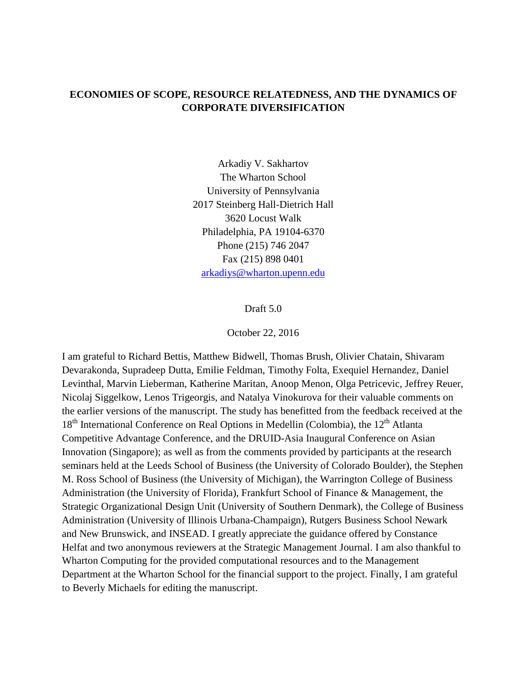# **ECONOMIES OF SCOPE, RESOURCE RELATEDNESS, AND THE DYNAMICS OF CORPORATE DIVERSIFICATION**

Arkadiy V. Sakhartov The Wharton School University of Pennsylvania 2017 Steinberg Hall-Dietrich Hall 3620 Locust Walk Philadelphia, PA 19104-6370 Phone (215) 746 2047 Fax (215) 898 0401 [arkadiys@wharton.upenn.edu](mailto:arkadiys@wharton.upenn.edu)

Draft 5.0

October 22, 2016

I am grateful to Richard Bettis, Matthew Bidwell, Thomas Brush, Olivier Chatain, Shivaram Devarakonda, Supradeep Dutta, Emilie Feldman, Timothy Folta, Exequiel Hernandez, Daniel Levinthal, Marvin Lieberman, Katherine Maritan, Anoop Menon, Olga Petricevic, Jeffrey Reuer, Nicolaj Siggelkow, Lenos Trigeorgis, and Natalya Vinokurova for their valuable comments on the earlier versions of the manuscript. The study has benefitted from the feedback received at the  $18<sup>th</sup>$  International Conference on Real Options in Medellin (Colombia), the  $12<sup>th</sup>$  Atlanta Competitive Advantage Conference, and the DRUID-Asia Inaugural Conference on Asian Innovation (Singapore); as well as from the comments provided by participants at the research seminars held at the Leeds School of Business (the University of Colorado Boulder), the Stephen M. Ross School of Business (the University of Michigan), the Warrington College of Business Administration (the University of Florida), Frankfurt School of Finance & Management, the Strategic Organizational Design Unit (University of Southern Denmark), the College of Business Administration (University of Illinois Urbana-Champaign), Rutgers Business School Newark and New Brunswick, and INSEAD. I greatly appreciate the guidance offered by Constance Helfat and two anonymous reviewers at the Strategic Management Journal. I am also thankful to Wharton Computing for the provided computational resources and to the Management Department at the Wharton School for the financial support to the project. Finally, I am grateful to Beverly Michaels for editing the manuscript.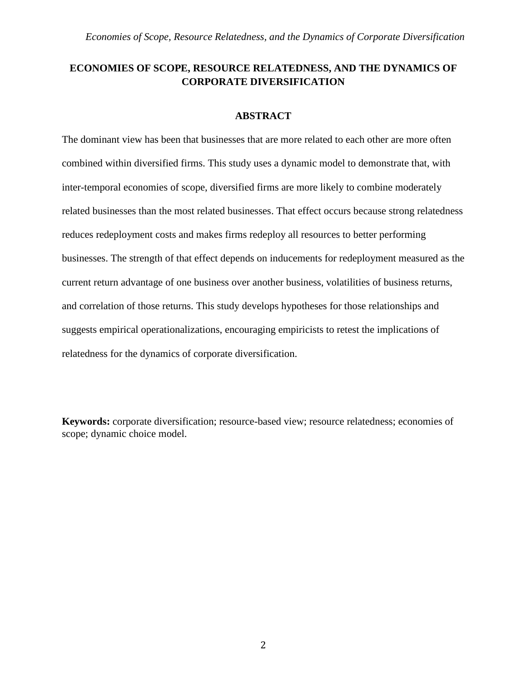# **ECONOMIES OF SCOPE, RESOURCE RELATEDNESS, AND THE DYNAMICS OF CORPORATE DIVERSIFICATION**

## **ABSTRACT**

The dominant view has been that businesses that are more related to each other are more often combined within diversified firms. This study uses a dynamic model to demonstrate that, with inter-temporal economies of scope, diversified firms are more likely to combine moderately related businesses than the most related businesses. That effect occurs because strong relatedness reduces redeployment costs and makes firms redeploy all resources to better performing businesses. The strength of that effect depends on inducements for redeployment measured as the current return advantage of one business over another business, volatilities of business returns, and correlation of those returns. This study develops hypotheses for those relationships and suggests empirical operationalizations, encouraging empiricists to retest the implications of relatedness for the dynamics of corporate diversification.

**Keywords:** corporate diversification; resource-based view; resource relatedness; economies of scope; dynamic choice model.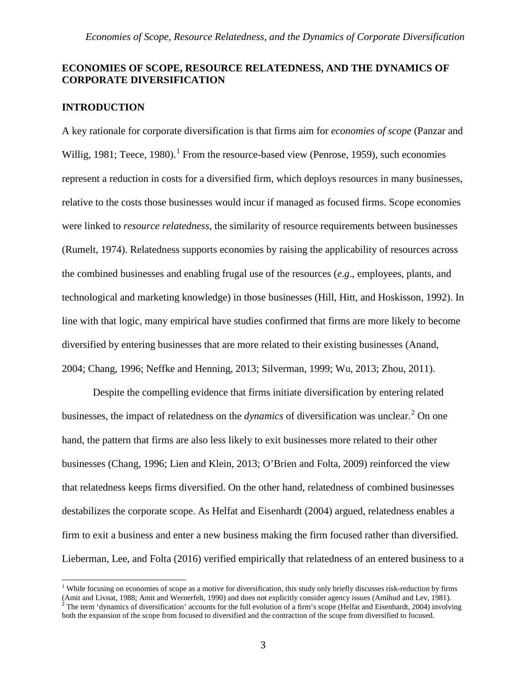# **ECONOMIES OF SCOPE, RESOURCE RELATEDNESS, AND THE DYNAMICS OF CORPORATE DIVERSIFICATION**

### **INTRODUCTION**

A key rationale for corporate diversification is that firms aim for *economies of scope* (Panzar and Willig, [1](#page-2-0)981; Teece, 1980).<sup>1</sup> From the resource-based view (Penrose, 1959), such economies represent a reduction in costs for a diversified firm, which deploys resources in many businesses, relative to the costs those businesses would incur if managed as focused firms. Scope economies were linked to *resource relatedness*, the similarity of resource requirements between businesses (Rumelt, 1974). Relatedness supports economies by raising the applicability of resources across the combined businesses and enabling frugal use of the resources (*e*.*g*., employees, plants, and technological and marketing knowledge) in those businesses (Hill, Hitt, and Hoskisson, 1992). In line with that logic, many empirical have studies confirmed that firms are more likely to become diversified by entering businesses that are more related to their existing businesses (Anand, 2004; Chang, 1996; Neffke and Henning, 2013; Silverman, 1999; Wu, 2013; Zhou, 2011).

Despite the compelling evidence that firms initiate diversification by entering related businesses, the impact of relatedness on the *dynamics* of diversification was unclear. [2](#page-2-1) On one hand, the pattern that firms are also less likely to exit businesses more related to their other businesses (Chang, 1996; Lien and Klein, 2013; O'Brien and Folta, 2009) reinforced the view that relatedness keeps firms diversified. On the other hand, relatedness of combined businesses destabilizes the corporate scope. As Helfat and Eisenhardt (2004) argued, relatedness enables a firm to exit a business and enter a new business making the firm focused rather than diversified. Lieberman, Lee, and Folta (2016) verified empirically that relatedness of an entered business to a

<span id="page-2-1"></span><span id="page-2-0"></span><sup>&</sup>lt;sup>1</sup> While focusing on economies of scope as a motive for diversification, this study only briefly discusses risk-reduction by firms (Amit and Livnat, 1988; Amit and Wernerfelt, 1990) and does not explicitly consider agenc  $\hat{P}$  The term 'dynamics of diversification' accounts for the full evolution of a firm's scope (Helfat and Eisenhardt, 2004) involving both the expansion of the scope from focused to diversified and the contraction of the scope from diversified to focused.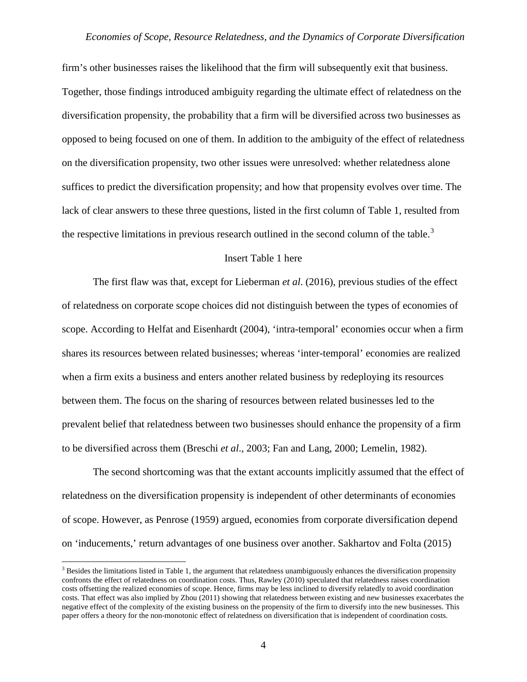firm's other businesses raises the likelihood that the firm will subsequently exit that business. Together, those findings introduced ambiguity regarding the ultimate effect of relatedness on the diversification propensity, the probability that a firm will be diversified across two businesses as opposed to being focused on one of them. In addition to the ambiguity of the effect of relatedness on the diversification propensity, two other issues were unresolved: whether relatedness alone suffices to predict the diversification propensity; and how that propensity evolves over time. The lack of clear answers to these three questions, listed in the first column of Table 1, resulted from the respective limitations in previous research outlined in the second column of the table.<sup>[3](#page-3-0)</sup>

#### Insert Table 1 here

The first flaw was that, except for Lieberman *et al*. (2016), previous studies of the effect of relatedness on corporate scope choices did not distinguish between the types of economies of scope. According to Helfat and Eisenhardt (2004), 'intra-temporal' economies occur when a firm shares its resources between related businesses; whereas 'inter-temporal' economies are realized when a firm exits a business and enters another related business by redeploying its resources between them. The focus on the sharing of resources between related businesses led to the prevalent belief that relatedness between two businesses should enhance the propensity of a firm to be diversified across them (Breschi *et al*., 2003; Fan and Lang, 2000; Lemelin, 1982).

The second shortcoming was that the extant accounts implicitly assumed that the effect of relatedness on the diversification propensity is independent of other determinants of economies of scope. However, as Penrose (1959) argued, economies from corporate diversification depend on 'inducements,' return advantages of one business over another. Sakhartov and Folta (2015)

<span id="page-3-0"></span><sup>&</sup>lt;sup>3</sup> Besides the limitations listed in Table 1, the argument that relatedness unambiguously enhances the diversification propensity confronts the effect of relatedness on coordination costs. Thus, Rawley (2010) speculated that relatedness raises coordination costs offsetting the realized economies of scope. Hence, firms may be less inclined to diversify relatedly to avoid coordination costs. That effect was also implied by Zhou (2011) showing that relatedness between existing and new businesses exacerbates the negative effect of the complexity of the existing business on the propensity of the firm to diversify into the new businesses. This paper offers a theory for the non-monotonic effect of relatedness on diversification that is independent of coordination costs.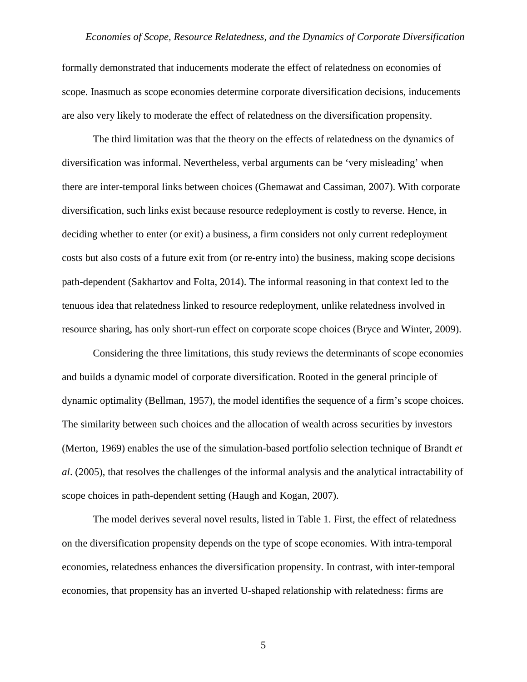formally demonstrated that inducements moderate the effect of relatedness on economies of scope. Inasmuch as scope economies determine corporate diversification decisions, inducements are also very likely to moderate the effect of relatedness on the diversification propensity.

The third limitation was that the theory on the effects of relatedness on the dynamics of diversification was informal. Nevertheless, verbal arguments can be 'very misleading' when there are inter-temporal links between choices (Ghemawat and Cassiman, 2007). With corporate diversification, such links exist because resource redeployment is costly to reverse. Hence, in deciding whether to enter (or exit) a business, a firm considers not only current redeployment costs but also costs of a future exit from (or re-entry into) the business, making scope decisions path-dependent (Sakhartov and Folta, 2014). The informal reasoning in that context led to the tenuous idea that relatedness linked to resource redeployment, unlike relatedness involved in resource sharing, has only short-run effect on corporate scope choices (Bryce and Winter, 2009).

Considering the three limitations, this study reviews the determinants of scope economies and builds a dynamic model of corporate diversification. Rooted in the general principle of dynamic optimality (Bellman, 1957), the model identifies the sequence of a firm's scope choices. The similarity between such choices and the allocation of wealth across securities by investors (Merton, 1969) enables the use of the simulation-based portfolio selection technique of Brandt *et al*. (2005), that resolves the challenges of the informal analysis and the analytical intractability of scope choices in path-dependent setting (Haugh and Kogan, 2007).

The model derives several novel results, listed in Table 1. First, the effect of relatedness on the diversification propensity depends on the type of scope economies. With intra-temporal economies, relatedness enhances the diversification propensity. In contrast, with inter-temporal economies, that propensity has an inverted U-shaped relationship with relatedness: firms are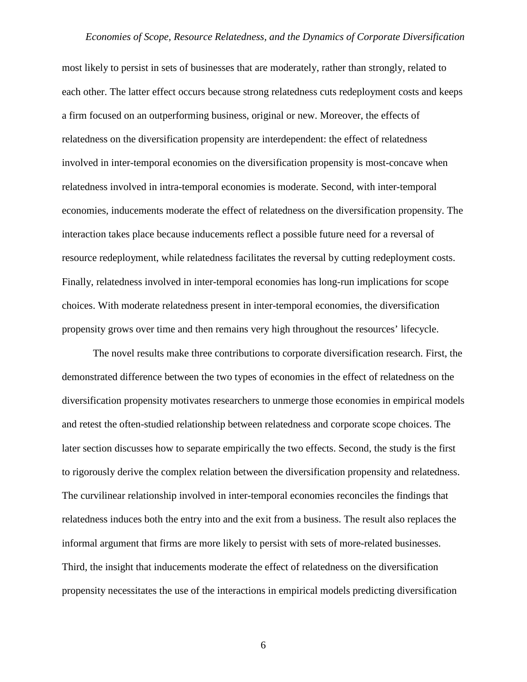most likely to persist in sets of businesses that are moderately, rather than strongly, related to each other. The latter effect occurs because strong relatedness cuts redeployment costs and keeps a firm focused on an outperforming business, original or new. Moreover, the effects of relatedness on the diversification propensity are interdependent: the effect of relatedness involved in inter-temporal economies on the diversification propensity is most-concave when relatedness involved in intra-temporal economies is moderate. Second, with inter-temporal economies, inducements moderate the effect of relatedness on the diversification propensity. The interaction takes place because inducements reflect a possible future need for a reversal of resource redeployment, while relatedness facilitates the reversal by cutting redeployment costs. Finally, relatedness involved in inter-temporal economies has long-run implications for scope choices. With moderate relatedness present in inter-temporal economies, the diversification propensity grows over time and then remains very high throughout the resources' lifecycle.

The novel results make three contributions to corporate diversification research. First, the demonstrated difference between the two types of economies in the effect of relatedness on the diversification propensity motivates researchers to unmerge those economies in empirical models and retest the often-studied relationship between relatedness and corporate scope choices. The later section discusses how to separate empirically the two effects. Second, the study is the first to rigorously derive the complex relation between the diversification propensity and relatedness. The curvilinear relationship involved in inter-temporal economies reconciles the findings that relatedness induces both the entry into and the exit from a business. The result also replaces the informal argument that firms are more likely to persist with sets of more-related businesses. Third, the insight that inducements moderate the effect of relatedness on the diversification propensity necessitates the use of the interactions in empirical models predicting diversification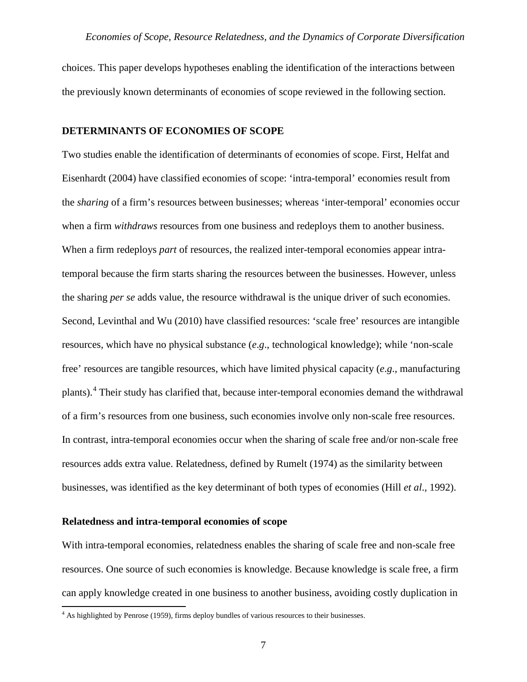choices. This paper develops hypotheses enabling the identification of the interactions between the previously known determinants of economies of scope reviewed in the following section.

#### **DETERMINANTS OF ECONOMIES OF SCOPE**

Two studies enable the identification of determinants of economies of scope. First, Helfat and Eisenhardt (2004) have classified economies of scope: 'intra-temporal' economies result from the *sharing* of a firm's resources between businesses; whereas 'inter-temporal' economies occur when a firm *withdraws* resources from one business and redeploys them to another business. When a firm redeploys *part* of resources, the realized inter-temporal economies appear intratemporal because the firm starts sharing the resources between the businesses. However, unless the sharing *per se* adds value, the resource withdrawal is the unique driver of such economies. Second, Levinthal and Wu (2010) have classified resources: 'scale free' resources are intangible resources, which have no physical substance (*e*.*g*., technological knowledge); while 'non-scale free' resources are tangible resources, which have limited physical capacity (*e*.*g*., manufacturing plants).[4](#page-6-0) Their study has clarified that, because inter-temporal economies demand the withdrawal of a firm's resources from one business, such economies involve only non-scale free resources. In contrast, intra-temporal economies occur when the sharing of scale free and/or non-scale free resources adds extra value. Relatedness, defined by Rumelt (1974) as the similarity between businesses, was identified as the key determinant of both types of economies (Hill *et al*., 1992).

## **Relatedness and intra-temporal economies of scope**

With intra-temporal economies, relatedness enables the sharing of scale free and non-scale free resources. One source of such economies is knowledge. Because knowledge is scale free, a firm can apply knowledge created in one business to another business, avoiding costly duplication in

<span id="page-6-0"></span><sup>&</sup>lt;sup>4</sup> As highlighted by Penrose (1959), firms deploy bundles of various resources to their businesses.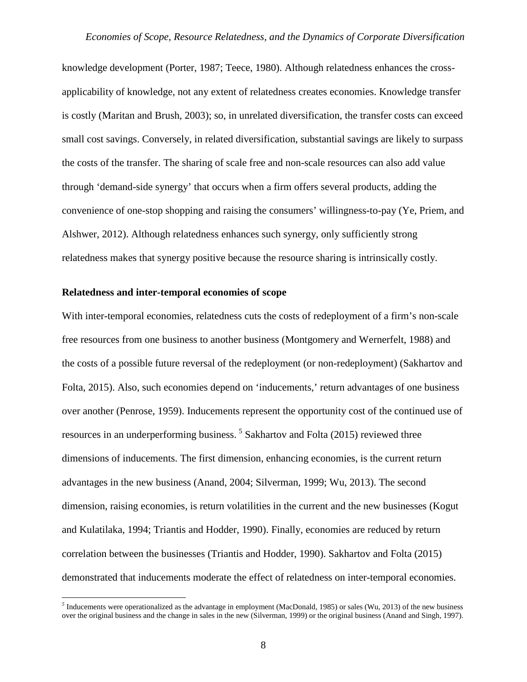knowledge development (Porter, 1987; Teece, 1980). Although relatedness enhances the crossapplicability of knowledge, not any extent of relatedness creates economies. Knowledge transfer is costly (Maritan and Brush, 2003); so, in unrelated diversification, the transfer costs can exceed small cost savings. Conversely, in related diversification, substantial savings are likely to surpass the costs of the transfer. The sharing of scale free and non-scale resources can also add value through 'demand-side synergy' that occurs when a firm offers several products, adding the convenience of one-stop shopping and raising the consumers' willingness-to-pay (Ye, Priem, and Alshwer, 2012). Although relatedness enhances such synergy, only sufficiently strong relatedness makes that synergy positive because the resource sharing is intrinsically costly.

#### **Relatedness and inter-temporal economies of scope**

With inter-temporal economies, relatedness cuts the costs of redeployment of a firm's non-scale free resources from one business to another business (Montgomery and Wernerfelt, 1988) and the costs of a possible future reversal of the redeployment (or non-redeployment) (Sakhartov and Folta, 2015). Also, such economies depend on 'inducements,' return advantages of one business over another (Penrose, 1959). Inducements represent the opportunity cost of the continued use of resources in an underperforming business.<sup>[5](#page-7-0)</sup> Sakhartov and Folta (2015) reviewed three dimensions of inducements. The first dimension, enhancing economies, is the current return advantages in the new business (Anand, 2004; Silverman, 1999; Wu, 2013). The second dimension, raising economies, is return volatilities in the current and the new businesses (Kogut and Kulatilaka, 1994; Triantis and Hodder, 1990). Finally, economies are reduced by return correlation between the businesses (Triantis and Hodder, 1990). Sakhartov and Folta (2015) demonstrated that inducements moderate the effect of relatedness on inter-temporal economies.

<span id="page-7-0"></span><sup>&</sup>lt;sup>5</sup> Inducements were operationalized as the advantage in employment (MacDonald, 1985) or sales (Wu, 2013) of the new business over the original business and the change in sales in the new (Silverman, 1999) or the original business (Anand and Singh, 1997).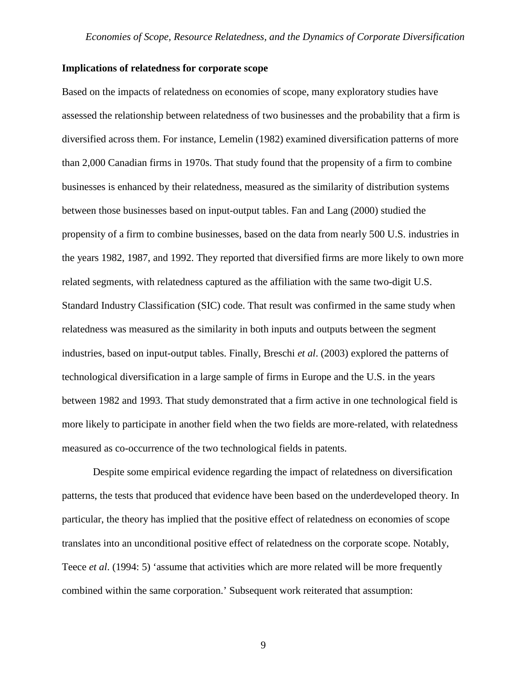### **Implications of relatedness for corporate scope**

Based on the impacts of relatedness on economies of scope, many exploratory studies have assessed the relationship between relatedness of two businesses and the probability that a firm is diversified across them. For instance, Lemelin (1982) examined diversification patterns of more than 2,000 Canadian firms in 1970s. That study found that the propensity of a firm to combine businesses is enhanced by their relatedness, measured as the similarity of distribution systems between those businesses based on input-output tables. Fan and Lang (2000) studied the propensity of a firm to combine businesses, based on the data from nearly 500 U.S. industries in the years 1982, 1987, and 1992. They reported that diversified firms are more likely to own more related segments, with relatedness captured as the affiliation with the same two-digit U.S. Standard Industry Classification (SIC) code. That result was confirmed in the same study when relatedness was measured as the similarity in both inputs and outputs between the segment industries, based on input-output tables. Finally, Breschi *et al*. (2003) explored the patterns of technological diversification in a large sample of firms in Europe and the U.S. in the years between 1982 and 1993. That study demonstrated that a firm active in one technological field is more likely to participate in another field when the two fields are more-related, with relatedness measured as co-occurrence of the two technological fields in patents.

Despite some empirical evidence regarding the impact of relatedness on diversification patterns, the tests that produced that evidence have been based on the underdeveloped theory. In particular, the theory has implied that the positive effect of relatedness on economies of scope translates into an unconditional positive effect of relatedness on the corporate scope. Notably, Teece *et al*. (1994: 5) 'assume that activities which are more related will be more frequently combined within the same corporation.' Subsequent work reiterated that assumption: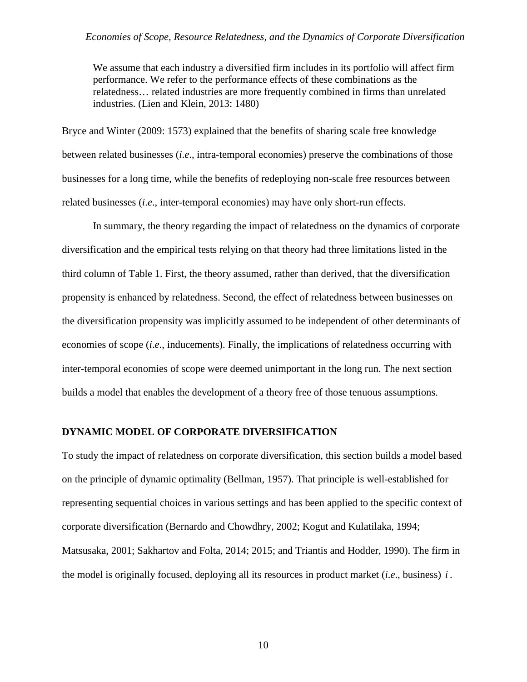We assume that each industry a diversified firm includes in its portfolio will affect firm performance. We refer to the performance effects of these combinations as the relatedness… related industries are more frequently combined in firms than unrelated industries. (Lien and Klein, 2013: 1480)

Bryce and Winter (2009: 1573) explained that the benefits of sharing scale free knowledge between related businesses (*i*.*e*., intra-temporal economies) preserve the combinations of those businesses for a long time, while the benefits of redeploying non-scale free resources between related businesses (*i*.*e*., inter-temporal economies) may have only short-run effects.

In summary, the theory regarding the impact of relatedness on the dynamics of corporate diversification and the empirical tests relying on that theory had three limitations listed in the third column of Table 1. First, the theory assumed, rather than derived, that the diversification propensity is enhanced by relatedness. Second, the effect of relatedness between businesses on the diversification propensity was implicitly assumed to be independent of other determinants of economies of scope (*i*.*e*., inducements). Finally, the implications of relatedness occurring with inter-temporal economies of scope were deemed unimportant in the long run. The next section builds a model that enables the development of a theory free of those tenuous assumptions.

## **DYNAMIC MODEL OF CORPORATE DIVERSIFICATION**

To study the impact of relatedness on corporate diversification, this section builds a model based on the principle of dynamic optimality (Bellman, 1957). That principle is well-established for representing sequential choices in various settings and has been applied to the specific context of corporate diversification (Bernardo and Chowdhry, 2002; Kogut and Kulatilaka, 1994; Matsusaka, 2001; Sakhartov and Folta, 2014; 2015; and Triantis and Hodder, 1990). The firm in the model is originally focused, deploying all its resources in product market (*i*.*e*., business) *i* .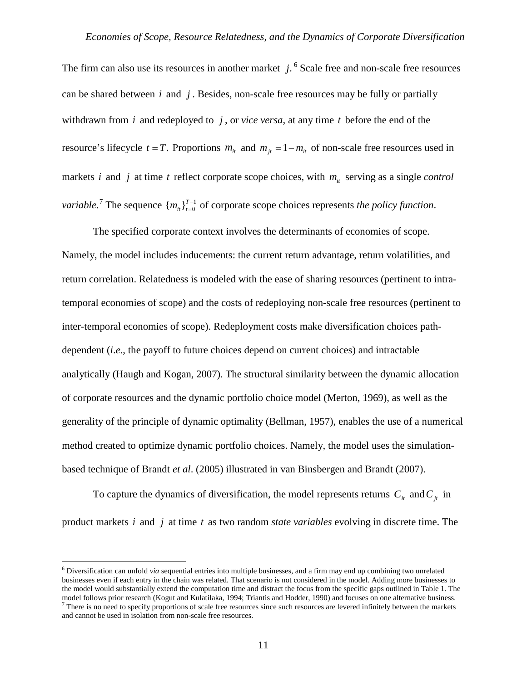The firm can also use its resources in another market *j*. [6](#page-10-0) Scale free and non-scale free resources can be shared between *i* and *j* . Besides, non-scale free resources may be fully or partially withdrawn from *i* and redeployed to *j* , or *vice versa*, at any time *t* before the end of the resource's lifecycle  $t = T$ . Proportions  $m_{it}$  and  $m_{it} = 1 - m_{it}$  of non-scale free resources used in markets *i* and *j* at time *t* reflect corporate scope choices, with  $m<sub>i</sub>$  serving as a single *control variable.*<sup>[7](#page-10-1)</sup> The sequence  ${m_{i_t}}_{t=0}^{T-1}$  of corporate scope choices represents *the policy function*.

The specified corporate context involves the determinants of economies of scope. Namely, the model includes inducements: the current return advantage, return volatilities, and return correlation. Relatedness is modeled with the ease of sharing resources (pertinent to intratemporal economies of scope) and the costs of redeploying non-scale free resources (pertinent to inter-temporal economies of scope). Redeployment costs make diversification choices pathdependent (*i*.*e*., the payoff to future choices depend on current choices) and intractable analytically (Haugh and Kogan, 2007). The structural similarity between the dynamic allocation of corporate resources and the dynamic portfolio choice model (Merton, 1969), as well as the generality of the principle of dynamic optimality (Bellman, 1957), enables the use of a numerical method created to optimize dynamic portfolio choices. Namely, the model uses the simulationbased technique of Brandt *et al*. (2005) illustrated in van Binsbergen and Brandt (2007).

To capture the dynamics of diversification, the model represents returns  $C_i$  and  $C_j$  in product markets *i* and *j* at time *t* as two random *state variables* evolving in discrete time. The

<span id="page-10-0"></span><sup>6</sup> Diversification can unfold *via* sequential entries into multiple businesses, and a firm may end up combining two unrelated businesses even if each entry in the chain was related. That scenario is not considered in the model. Adding more businesses to the model would substantially extend the computation time and distract the focus from the specific gaps outlined in Table 1. The model follows prior research (Kogut and Kulatilaka, 1994; Triantis and Hodder, 1990) and focu

<span id="page-10-1"></span> $\frac{1}{1}$  There is no need to specify proportions of scale free resources since such resources are levered infinitely between the markets and cannot be used in isolation from non-scale free resources.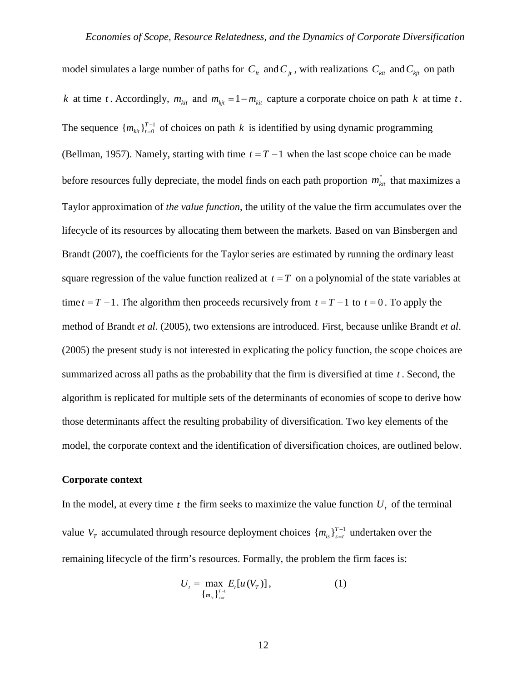model simulates a large number of paths for  $C_{it}$  and  $C_{jt}$ , with realizations  $C_{kit}$  and  $C_{kit}$  on path *k* at time *t*. Accordingly,  $m_{ki}$  and  $m_{ki} = 1 - m_{ki}$  capture a corporate choice on path *k* at time *t*. The sequence  ${m_{kit}}_{t=0}^{T-1}$  of choices on path *k* is identified by using dynamic programming (Bellman, 1957). Namely, starting with time  $t = T - 1$  when the last scope choice can be made before resources fully depreciate, the model finds on each path proportion  $m_{\tilde{t}it}^*$  that maximizes a Taylor approximation of *the value function*, the utility of the value the firm accumulates over the lifecycle of its resources by allocating them between the markets. Based on van Binsbergen and Brandt (2007), the coefficients for the Taylor series are estimated by running the ordinary least square regression of the value function realized at  $t = T$  on a polynomial of the state variables at time  $t = T - 1$ . The algorithm then proceeds recursively from  $t = T - 1$  to  $t = 0$ . To apply the method of Brandt *et al*. (2005), two extensions are introduced. First, because unlike Brandt *et al*. (2005) the present study is not interested in explicating the policy function, the scope choices are summarized across all paths as the probability that the firm is diversified at time *t* . Second, the algorithm is replicated for multiple sets of the determinants of economies of scope to derive how those determinants affect the resulting probability of diversification. Two key elements of the model, the corporate context and the identification of diversification choices, are outlined below.

### **Corporate context**

In the model, at every time  $t$  the firm seeks to maximize the value function  $U_t$ , of the terminal value  $V_T$  accumulated through resource deployment choices  $\{m_{is}\}_{s=t}^{T-1}$  undertaken over the remaining lifecycle of the firm's resources. Formally, the problem the firm faces is:

$$
U_{t} = \max_{\{m_{is}\}_{s=t}} E_{t}[u(V_{T})], \qquad (1)
$$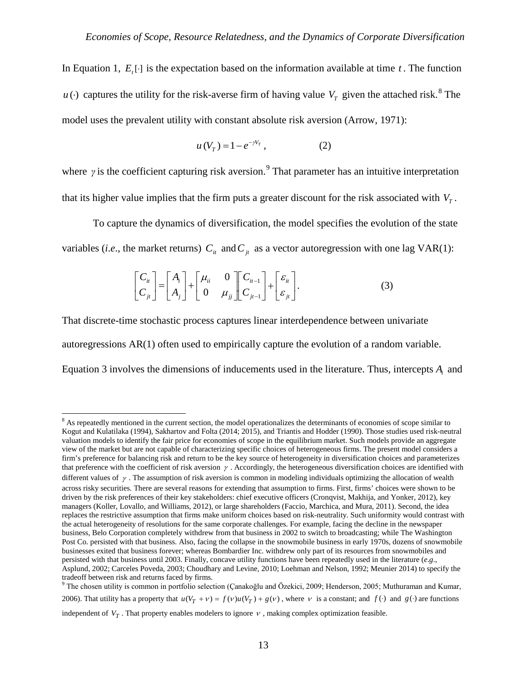In Equation 1,  $E_t[\cdot]$  is the expectation based on the information available at time  $t$ . The function *u* (·) captures the utility for the risk-averse firm of having value  $V_T$  given the attached risk.<sup>[8](#page-12-0)</sup> The model uses the prevalent utility with constant absolute risk aversion (Arrow, 1971):

$$
u(V_T) = 1 - e^{-\gamma V_T}, \qquad (2)
$$

where  $\gamma$  is the coefficient capturing risk aversion.<sup>[9](#page-12-1)</sup> That parameter has an intuitive interpretation that its higher value implies that the firm puts a greater discount for the risk associated with  $V<sub>r</sub>$ .

To capture the dynamics of diversification, the model specifies the evolution of the state variables (*i.e.*, the market returns)  $C_{it}$  and  $C_{it}$  as a vector autoregression with one lag VAR(1):

$$
\begin{bmatrix} C_{ii} \\ C_{ji} \end{bmatrix} = \begin{bmatrix} A_i \\ A_j \end{bmatrix} + \begin{bmatrix} \mu_{ii} & 0 \\ 0 & \mu_{jj} \end{bmatrix} \begin{bmatrix} C_{i-1} \\ C_{j-1} \end{bmatrix} + \begin{bmatrix} \varepsilon_{ii} \\ \varepsilon_{ji} \end{bmatrix}.
$$
 (3)

That discrete-time stochastic process captures linear interdependence between univariate autoregressions AR(1) often used to empirically capture the evolution of a random variable. Equation 3 involves the dimensions of inducements used in the literature. Thus, intercepts *A<sub>i</sub>* and

<span id="page-12-0"></span><sup>&</sup>lt;sup>8</sup> As repeatedly mentioned in the current section, the model operationalizes the determinants of economies of scope similar to Kogut and Kulatilaka (1994), Sakhartov and Folta (2014; 2015), and Triantis and Hodder (1990). Those studies used risk-neutral valuation models to identify the fair price for economies of scope in the equilibrium market. Such models provide an aggregate view of the market but are not capable of characterizing specific choices of heterogeneous firms. The present model considers a firm's preference for balancing risk and return to be the key source of heterogeneity in diversification choices and parameterizes that preference with the coefficient of risk aversion  $\gamma$ . Accordingly, the heterogeneous diversification choices are identified with different values of  $\gamma$ . The assumption of risk aversion is common in modeling individuals optimizing the allocation of wealth across risky securities. There are several reasons for extending that assumption to firms. First, firms' choices were shown to be driven by the risk preferences of their key stakeholders: chief executive officers (Cronqvist, Makhija, and Yonker, 2012), key managers (Koller, Lovallo, and Williams, 2012), or large shareholders (Faccio, Marchica, and Mura, 2011). Second, the idea replaces the restrictive assumption that firms make uniform choices based on risk-neutrality. Such uniformity would contrast with the actual heterogeneity of resolutions for the same corporate challenges. For example, facing the decline in the newspaper business, Belo Corporation completely withdrew from that business in 2002 to switch to broadcasting; while The Washington Post Co. persisted with that business. Also, facing the collapse in the snowmobile business in early 1970s, dozens of snowmobile businesses exited that business forever; whereas Bombardier Inc. withdrew only part of its resources from snowmobiles and persisted with that business until 2003. Finally, concave utility functions have been repeatedly used in the literature (*e*.*g*., Asplund, 2002; Carceles Poveda, 2003; Choudhary and Levine, 2010; Loehman and Nelson, 1992; Meunier 2014) to specify the tradeoff between risk and returns faced by firms.

<span id="page-12-1"></span><sup>9</sup> The chosen utility is common in portfolio selection (Çanakoğlu and Özekici, 2009; Henderson, 2005; Muthuraman and Kumar, 2006). That utility has a property that  $u(V_T + v) = f(v)u(V_T) + g(v)$ , where v is a constant; and  $f(\cdot)$  and  $g(\cdot)$  are functions independent of  $V_T$ . That property enables modelers to ignore  $V$ , making complex optimization feasible.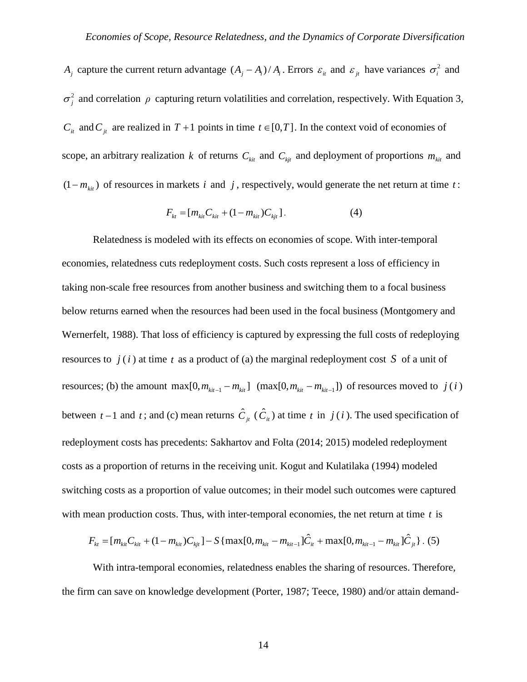*A<sub>j</sub>* capture the current return advantage  $(A_j - A_i)/A_i$ . Errors  $\varepsilon_i$  and  $\varepsilon_j$  have variances  $\sigma_i^2$  and  $\sigma_i^2$  and correlation  $\rho$  capturing return volatilities and correlation, respectively. With Equation 3, *C<sub>it</sub>* and *C<sub>jt</sub>* are realized in  $T + 1$  points in time  $t \in [0, T]$ . In the context void of economies of scope, an arbitrary realization *k* of returns  $C_{kit}$  and  $C_{kit}$  and deployment of proportions  $m_{kit}$  and  $(1 - m_{k}$ ) of resources in markets *i* and *j*, respectively, would generate the net return at time *t*:

$$
F_{kt} = [m_{kit}C_{kit} + (1 - m_{kit})C_{kit}]. \tag{4}
$$

Relatedness is modeled with its effects on economies of scope. With inter-temporal economies, relatedness cuts redeployment costs. Such costs represent a loss of efficiency in taking non-scale free resources from another business and switching them to a focal business below returns earned when the resources had been used in the focal business (Montgomery and Wernerfelt, 1988). That loss of efficiency is captured by expressing the full costs of redeploying resources to  $j(i)$  at time t as a product of (a) the marginal redeployment cost S of a unit of resources; (b) the amount max $[0, m_{ki-1} - m_{ki}]\ (max[0, m_{ki-1} - m_{ki-1}])$  of resources moved to  $j(i)$ between  $t-1$  and  $t$ ; and (c) mean returns  $\hat{C}_{jt}(\hat{C}_{it})$  at time  $t$  in  $j(i)$ . The used specification of redeployment costs has precedents: Sakhartov and Folta (2014; 2015) modeled redeployment costs as a proportion of returns in the receiving unit. Kogut and Kulatilaka (1994) modeled switching costs as a proportion of value outcomes; in their model such outcomes were captured with mean production costs. Thus, with inter-temporal economies, the net return at time *t* is

$$
F_{kt} = [m_{kit}C_{kit} + (1 - m_{kit})C_{kit}] - S \{ \max[0, m_{kit} - m_{kit-1}]\hat{C}_{it} + \max[0, m_{kit-1} - m_{kit}]\hat{C}_{jt} \}.
$$
 (5)

With intra-temporal economies, relatedness enables the sharing of resources. Therefore, the firm can save on knowledge development (Porter, 1987; Teece, 1980) and/or attain demand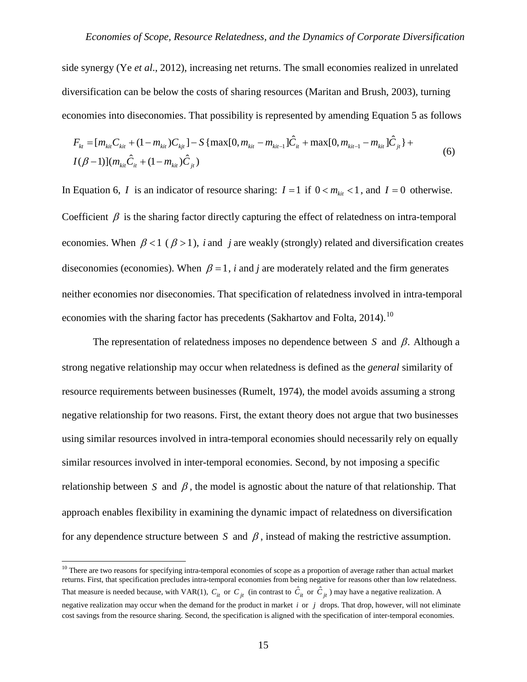side synergy (Ye *et al*., 2012), increasing net returns. The small economies realized in unrelated diversification can be below the costs of sharing resources (Maritan and Brush, 2003), turning economies into diseconomies. That possibility is represented by amending Equation 5 as follows

$$
F_{kt} = [m_{kit}C_{kit} + (1 - m_{kit})C_{kit}] - S \{ \max[0, m_{kit} - m_{kit-1}]\hat{C}_{it} + \max[0, m_{kit-1} - m_{kit}]\hat{C}_{jt} \} + I(\beta - 1)](m_{kit}\hat{C}_{it} + (1 - m_{kit})\hat{C}_{jt})
$$
\n(6)

In Equation 6, *I* is an indicator of resource sharing:  $I = 1$  if  $0 < m_{1i} < 1$ , and  $I = 0$  otherwise. Coefficient  $\beta$  is the sharing factor directly capturing the effect of relatedness on intra-temporal economies. When  $\beta < 1$  ( $\beta > 1$ ), *i* and *j* are weakly (strongly) related and diversification creates diseconomies (economies). When  $\beta = 1$ , *i* and *j* are moderately related and the firm generates neither economies nor diseconomies. That specification of relatedness involved in intra-temporal economies with the sharing factor has precedents (Sakhartov and Folta,  $2014$ ).<sup>[10](#page-14-0)</sup>

The representation of relatedness imposes no dependence between *S* and β. Although a strong negative relationship may occur when relatedness is defined as the *general* similarity of resource requirements between businesses (Rumelt, 1974), the model avoids assuming a strong negative relationship for two reasons. First, the extant theory does not argue that two businesses using similar resources involved in intra-temporal economies should necessarily rely on equally similar resources involved in inter-temporal economies. Second, by not imposing a specific relationship between *S* and  $\beta$ , the model is agnostic about the nature of that relationship. That approach enables flexibility in examining the dynamic impact of relatedness on diversification for any dependence structure between *S* and  $\beta$ , instead of making the restrictive assumption.

<span id="page-14-0"></span><sup>&</sup>lt;sup>10</sup> There are two reasons for specifying intra-temporal economies of scope as a proportion of average rather than actual market returns. First, that specification precludes intra-temporal economies from being negative for reasons other than low relatedness. That measure is needed because, with VAR(1),  $C_{it}$  or  $C_{jt}$  (in contrast to  $\hat{C}_{it}$  or  $\hat{C}_{jt}$ ) may have a negative realization. A negative realization may occur when the demand for the product in market *i* or *j* drops. That drop, however, will not eliminate cost savings from the resource sharing. Second, the specification is aligned with the specification of inter-temporal economies.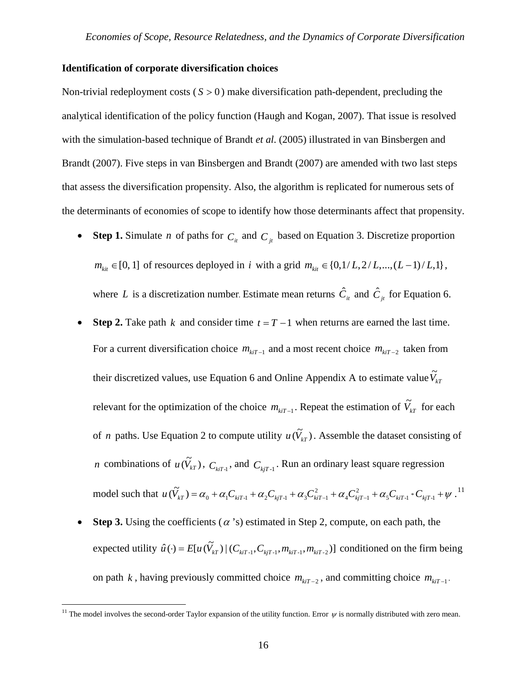#### **Identification of corporate diversification choices**

Non-trivial redeployment costs  $(S > 0)$  make diversification path-dependent, precluding the analytical identification of the policy function (Haugh and Kogan, 2007). That issue is resolved with the simulation-based technique of Brandt *et al*. (2005) illustrated in van Binsbergen and Brandt (2007). Five steps in van Binsbergen and Brandt (2007) are amended with two last steps that assess the diversification propensity. Also, the algorithm is replicated for numerous sets of the determinants of economies of scope to identify how those determinants affect that propensity.

- **Step 1.** Simulate *n* of paths for  $C_i$  and  $C_j$  based on Equation 3. Discretize proportion  $m_{\text{kit}}$  ∈ [0, 1] of resources deployed in *i* with a grid  $m_{\text{kit}}$  ∈ {0,1/ *L*, 2/ *L*,...,(*L* − 1)/ *L*,1}, where *L* is a discretization number. Estimate mean returns  $\hat{C}_{it}$  and  $\hat{C}_{jt}$  for Equation 6.
- **Step 2.** Take path *k* and consider time  $t = T 1$  when returns are earned the last time. For a current diversification choice  $m_{kiT-1}$  and a most recent choice  $m_{kiT-2}$  taken from their discretized values, use Equation 6 and Online Appendix A to estimate value  $\widetilde{V}_{kT}$ relevant for the optimization of the choice  $m_{\text{kin}-1}$ . Repeat the estimation of  $\tilde{V}_{\text{kin}}$  for each of *n* paths. Use Equation 2 to compute utility  $u(\tilde{V}_{kT})$ . Assemble the dataset consisting of *n* combinations of  $u(\tilde{V}_{kT})$ ,  $C_{kT-1}$ , and  $C_{kT-1}$ . Run an ordinary least square regression model such that  $u(\tilde{V}_{kT}) = \alpha_0 + \alpha_1 C_{kiT-1} + \alpha_2 C_{kjT-1} + \alpha_3 C_{kiT-1}^2 + \alpha_4 C_{kjT-1}^2 + \alpha_5 C_{kiT-1} * C_{kjT-1} + \psi$  $u(\widetilde{V}_{kT}) = \alpha_0 + \alpha_1 C_{kiT-1} + \alpha_2 C_{kjT-1} + \alpha_3 C_{kiT-1}^2 + \alpha_4 C_{kjT-1}^2 + \alpha_5 C_{kiT-1} * C_{kjT-1} + \psi$ .<sup>[11](#page-15-0)</sup>
- **Step 3.** Using the coefficients ( $\alpha$ 's) estimated in Step 2, compute, on each path, the expected utility  $\hat{u}(\cdot) = E[u(\tilde{V}_{kT})|(C_{kT-1}, C_{kT-1}, m_{kT-1}, m_{kT-2})]$  conditioned on the firm being on path *k*, having previously committed choice  $m_{\text{kir}-2}$ , and committing choice  $m_{\text{kir}-1}$ .

<span id="page-15-0"></span><sup>&</sup>lt;sup>11</sup> The model involves the second-order Taylor expansion of the utility function. Error  $\psi$  is normally distributed with zero mean.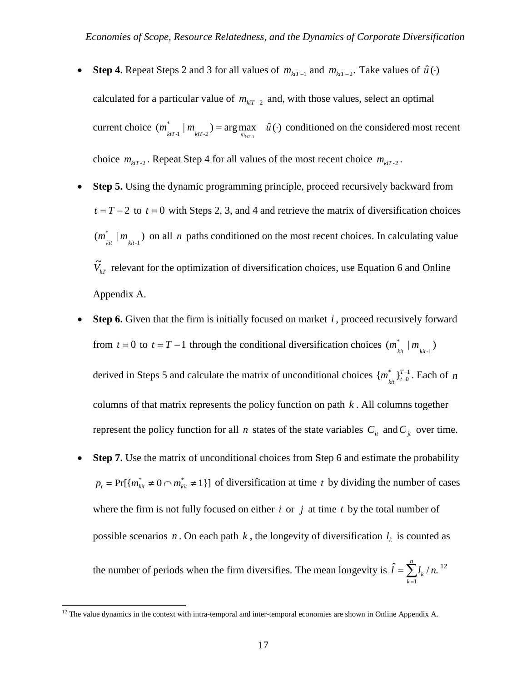- **Step 4.** Repeat Steps 2 and 3 for all values of  $m_{kiT-1}$  and  $m_{kiT-2}$ . Take values of  $\hat{u}(\cdot)$ calculated for a particular value of  $m_{\text{klT}-2}$  and, with those values, select an optimal current choice  $(m_{\text{kir-1}}^* | m_{\text{kir-2}}) = \arg \max_{m_{\text{kir-1}}} \hat{u}(\cdot)$  conditioned on the considered most recent choice  $m_{\text{kif-2}}$ . Repeat Step 4 for all values of the most recent choice  $m_{\text{kif-2}}$ .
- **Step 5.** Using the dynamic programming principle, proceed recursively backward from  $t = T - 2$  to  $t = 0$  with Steps 2, 3, and 4 and retrieve the matrix of diversification choices  $(m^*_{_{kit}}\,|\,m_{_{kit\text{-}1}})$  $m_{\overline{k}i}^*$  |  $m_{\overline{k}i-1}$ ) on all *n* paths conditioned on the most recent choices. In calculating value  $\tilde{V}_{kT}$  relevant for the optimization of diversification choices, use Equation 6 and Online Appendix A.
- **Step 6.** Given that the firm is initially focused on market *i*, proceed recursively forward from *t* = 0 to *t* = *T* − 1 through the conditional diversification choices  $(m_{\text{kit}}^* | m_{\text{kit-1}})$  $m$ <sup>\*</sup><sub>kit</sub> |  $m$ derived in Steps 5 and calculate the matrix of unconditional choices  $\{m_{i}^{*}\}_{i=0}^{T-1}$ *t \**  $m^*_{\substack{kit}}\}_{t=0}^{T-1}$ . Each of *n* columns of that matrix represents the policy function on path  $k$ . All columns together represent the policy function for all *n* states of the state variables  $C_i$  and  $C_j$  over time.
- **Step 7.** Use the matrix of unconditional choices from Step 6 and estimate the probability  $p_t = Pr[\{m_{kit}^* \neq 0 \cap m_{kit}^* \neq 1\}]$  of diversification at time *t* by dividing the number of cases where the firm is not fully focused on either *i* or *j* at time *t* by the total number of possible scenarios  $n$ . On each path  $k$ , the longevity of diversification  $l_k$  is counted as

the number of periods when the firm diversifies. The mean longevity is  $\hat{l} = \sum_{k} l_{k} / n$ .  $=\sum_{k=1}^n$ *k*  $\hat{l} = \sum l_k / n$ . <sup>[12](#page-16-0)</sup>

<span id="page-16-0"></span> $12$  The value dynamics in the context with intra-temporal and inter-temporal economies are shown in Online Appendix A.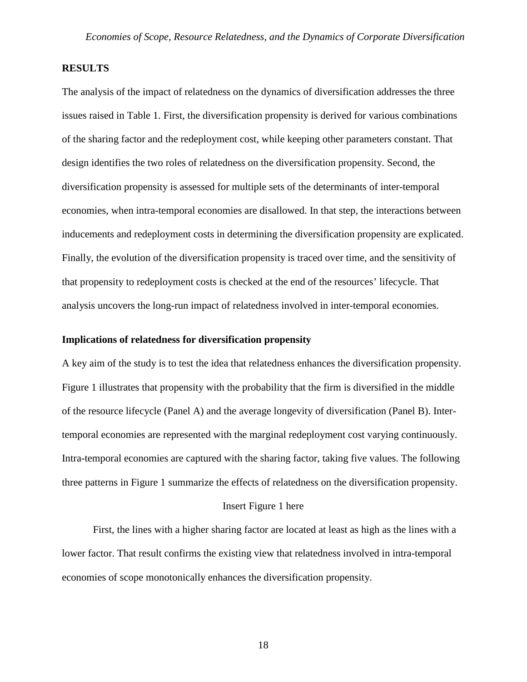## **RESULTS**

The analysis of the impact of relatedness on the dynamics of diversification addresses the three issues raised in Table 1. First, the diversification propensity is derived for various combinations of the sharing factor and the redeployment cost, while keeping other parameters constant. That design identifies the two roles of relatedness on the diversification propensity. Second, the diversification propensity is assessed for multiple sets of the determinants of inter-temporal economies, when intra-temporal economies are disallowed. In that step, the interactions between inducements and redeployment costs in determining the diversification propensity are explicated. Finally, the evolution of the diversification propensity is traced over time, and the sensitivity of that propensity to redeployment costs is checked at the end of the resources' lifecycle. That analysis uncovers the long-run impact of relatedness involved in inter-temporal economies.

### **Implications of relatedness for diversification propensity**

A key aim of the study is to test the idea that relatedness enhances the diversification propensity. Figure 1 illustrates that propensity with the probability that the firm is diversified in the middle of the resource lifecycle (Panel A) and the average longevity of diversification (Panel B). Intertemporal economies are represented with the marginal redeployment cost varying continuously. Intra-temporal economies are captured with the sharing factor, taking five values. The following three patterns in Figure 1 summarize the effects of relatedness on the diversification propensity.

### Insert Figure 1 here

First, the lines with a higher sharing factor are located at least as high as the lines with a lower factor. That result confirms the existing view that relatedness involved in intra-temporal economies of scope monotonically enhances the diversification propensity.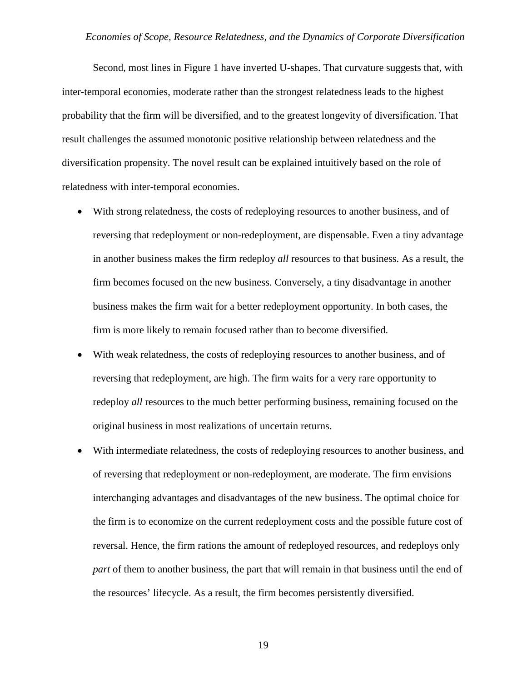Second, most lines in Figure 1 have inverted U-shapes. That curvature suggests that, with inter-temporal economies, moderate rather than the strongest relatedness leads to the highest probability that the firm will be diversified, and to the greatest longevity of diversification. That result challenges the assumed monotonic positive relationship between relatedness and the diversification propensity. The novel result can be explained intuitively based on the role of relatedness with inter-temporal economies.

- With strong relatedness, the costs of redeploying resources to another business, and of reversing that redeployment or non-redeployment, are dispensable. Even a tiny advantage in another business makes the firm redeploy *all* resources to that business. As a result, the firm becomes focused on the new business. Conversely, a tiny disadvantage in another business makes the firm wait for a better redeployment opportunity. In both cases, the firm is more likely to remain focused rather than to become diversified.
- With weak relatedness, the costs of redeploying resources to another business, and of reversing that redeployment, are high. The firm waits for a very rare opportunity to redeploy *all* resources to the much better performing business, remaining focused on the original business in most realizations of uncertain returns.
- With intermediate relatedness, the costs of redeploying resources to another business, and of reversing that redeployment or non-redeployment, are moderate. The firm envisions interchanging advantages and disadvantages of the new business. The optimal choice for the firm is to economize on the current redeployment costs and the possible future cost of reversal. Hence, the firm rations the amount of redeployed resources, and redeploys only *part* of them to another business, the part that will remain in that business until the end of the resources' lifecycle. As a result, the firm becomes persistently diversified.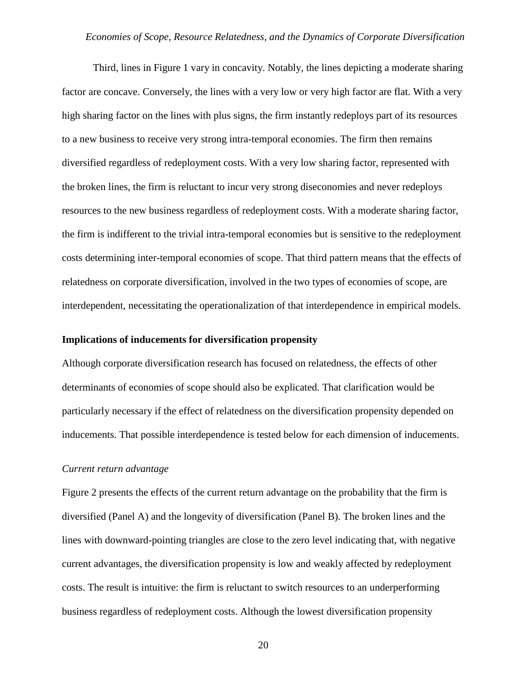Third, lines in Figure 1 vary in concavity. Notably, the lines depicting a moderate sharing factor are concave. Conversely, the lines with a very low or very high factor are flat. With a very high sharing factor on the lines with plus signs, the firm instantly redeploys part of its resources to a new business to receive very strong intra-temporal economies. The firm then remains diversified regardless of redeployment costs. With a very low sharing factor, represented with the broken lines, the firm is reluctant to incur very strong diseconomies and never redeploys resources to the new business regardless of redeployment costs. With a moderate sharing factor, the firm is indifferent to the trivial intra-temporal economies but is sensitive to the redeployment costs determining inter-temporal economies of scope. That third pattern means that the effects of relatedness on corporate diversification, involved in the two types of economies of scope, are interdependent, necessitating the operationalization of that interdependence in empirical models.

### **Implications of inducements for diversification propensity**

Although corporate diversification research has focused on relatedness, the effects of other determinants of economies of scope should also be explicated. That clarification would be particularly necessary if the effect of relatedness on the diversification propensity depended on inducements. That possible interdependence is tested below for each dimension of inducements.

#### *Current return advantage*

Figure 2 presents the effects of the current return advantage on the probability that the firm is diversified (Panel A) and the longevity of diversification (Panel B). The broken lines and the lines with downward-pointing triangles are close to the zero level indicating that, with negative current advantages, the diversification propensity is low and weakly affected by redeployment costs. The result is intuitive: the firm is reluctant to switch resources to an underperforming business regardless of redeployment costs. Although the lowest diversification propensity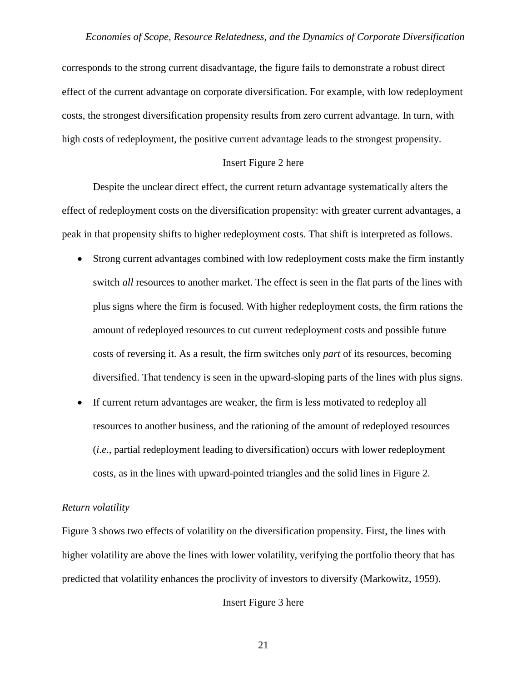corresponds to the strong current disadvantage, the figure fails to demonstrate a robust direct effect of the current advantage on corporate diversification. For example, with low redeployment costs, the strongest diversification propensity results from zero current advantage. In turn, with high costs of redeployment, the positive current advantage leads to the strongest propensity.

### Insert Figure 2 here

Despite the unclear direct effect, the current return advantage systematically alters the effect of redeployment costs on the diversification propensity: with greater current advantages, a peak in that propensity shifts to higher redeployment costs. That shift is interpreted as follows.

- Strong current advantages combined with low redeployment costs make the firm instantly switch *all* resources to another market. The effect is seen in the flat parts of the lines with plus signs where the firm is focused. With higher redeployment costs, the firm rations the amount of redeployed resources to cut current redeployment costs and possible future costs of reversing it. As a result, the firm switches only *part* of its resources, becoming diversified. That tendency is seen in the upward-sloping parts of the lines with plus signs.
- If current return advantages are weaker, the firm is less motivated to redeploy all resources to another business, and the rationing of the amount of redeployed resources (*i*.*e*., partial redeployment leading to diversification) occurs with lower redeployment costs, as in the lines with upward-pointed triangles and the solid lines in Figure 2.

### *Return volatility*

Figure 3 shows two effects of volatility on the diversification propensity. First, the lines with higher volatility are above the lines with lower volatility, verifying the portfolio theory that has predicted that volatility enhances the proclivity of investors to diversify (Markowitz, 1959).

### Insert Figure 3 here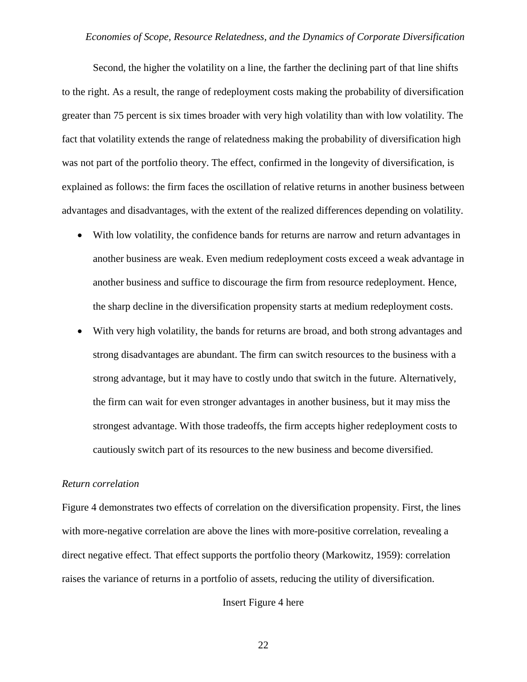Second, the higher the volatility on a line, the farther the declining part of that line shifts to the right. As a result, the range of redeployment costs making the probability of diversification greater than 75 percent is six times broader with very high volatility than with low volatility. The fact that volatility extends the range of relatedness making the probability of diversification high was not part of the portfolio theory. The effect, confirmed in the longevity of diversification, is explained as follows: the firm faces the oscillation of relative returns in another business between advantages and disadvantages, with the extent of the realized differences depending on volatility.

- With low volatility, the confidence bands for returns are narrow and return advantages in another business are weak. Even medium redeployment costs exceed a weak advantage in another business and suffice to discourage the firm from resource redeployment. Hence, the sharp decline in the diversification propensity starts at medium redeployment costs.
- With very high volatility, the bands for returns are broad, and both strong advantages and strong disadvantages are abundant. The firm can switch resources to the business with a strong advantage, but it may have to costly undo that switch in the future. Alternatively, the firm can wait for even stronger advantages in another business, but it may miss the strongest advantage. With those tradeoffs, the firm accepts higher redeployment costs to cautiously switch part of its resources to the new business and become diversified.

#### *Return correlation*

Figure 4 demonstrates two effects of correlation on the diversification propensity. First, the lines with more-negative correlation are above the lines with more-positive correlation, revealing a direct negative effect. That effect supports the portfolio theory (Markowitz, 1959): correlation raises the variance of returns in a portfolio of assets, reducing the utility of diversification.

### Insert Figure 4 here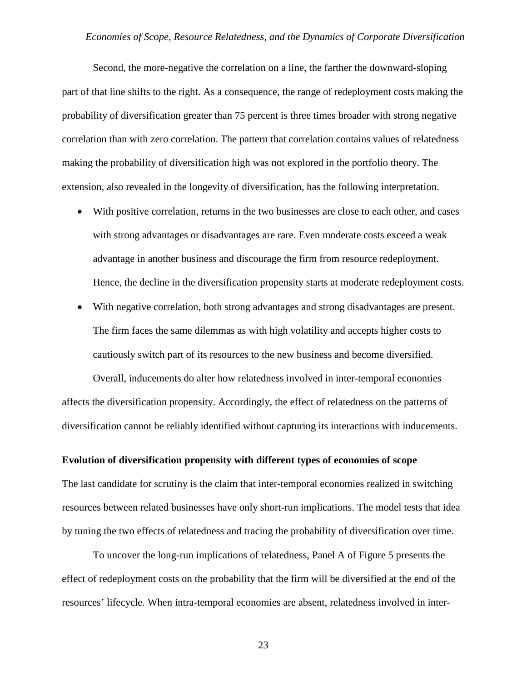Second, the more-negative the correlation on a line, the farther the downward-sloping part of that line shifts to the right. As a consequence, the range of redeployment costs making the probability of diversification greater than 75 percent is three times broader with strong negative correlation than with zero correlation. The pattern that correlation contains values of relatedness making the probability of diversification high was not explored in the portfolio theory. The extension, also revealed in the longevity of diversification, has the following interpretation.

- With positive correlation, returns in the two businesses are close to each other, and cases with strong advantages or disadvantages are rare. Even moderate costs exceed a weak advantage in another business and discourage the firm from resource redeployment. Hence, the decline in the diversification propensity starts at moderate redeployment costs.
- With negative correlation, both strong advantages and strong disadvantages are present. The firm faces the same dilemmas as with high volatility and accepts higher costs to cautiously switch part of its resources to the new business and become diversified.

Overall, inducements do alter how relatedness involved in inter-temporal economies affects the diversification propensity. Accordingly, the effect of relatedness on the patterns of diversification cannot be reliably identified without capturing its interactions with inducements.

### **Evolution of diversification propensity with different types of economies of scope**

The last candidate for scrutiny is the claim that inter-temporal economies realized in switching resources between related businesses have only short-run implications. The model tests that idea by tuning the two effects of relatedness and tracing the probability of diversification over time.

To uncover the long-run implications of relatedness, Panel A of Figure 5 presents the effect of redeployment costs on the probability that the firm will be diversified at the end of the resources' lifecycle. When intra-temporal economies are absent, relatedness involved in inter-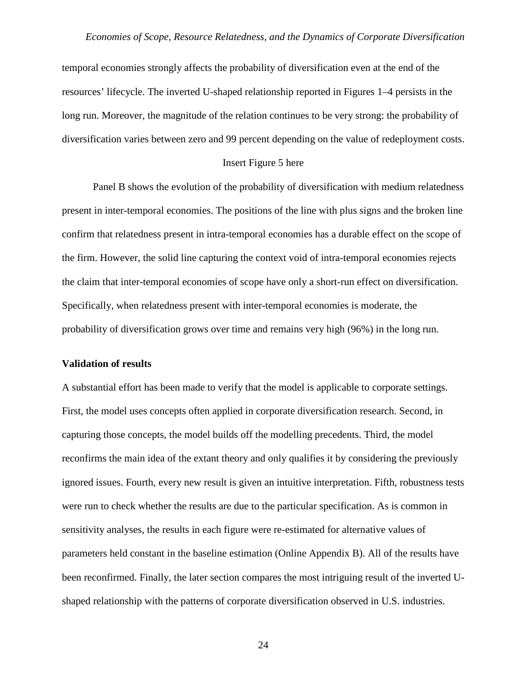temporal economies strongly affects the probability of diversification even at the end of the resources' lifecycle. The inverted U-shaped relationship reported in Figures 1–4 persists in the long run. Moreover, the magnitude of the relation continues to be very strong: the probability of diversification varies between zero and 99 percent depending on the value of redeployment costs.

#### Insert Figure 5 here

Panel B shows the evolution of the probability of diversification with medium relatedness present in inter-temporal economies. The positions of the line with plus signs and the broken line confirm that relatedness present in intra-temporal economies has a durable effect on the scope of the firm. However, the solid line capturing the context void of intra-temporal economies rejects the claim that inter-temporal economies of scope have only a short-run effect on diversification. Specifically, when relatedness present with inter-temporal economies is moderate, the probability of diversification grows over time and remains very high (96%) in the long run.

#### **Validation of results**

A substantial effort has been made to verify that the model is applicable to corporate settings. First, the model uses concepts often applied in corporate diversification research. Second, in capturing those concepts, the model builds off the modelling precedents. Third, the model reconfirms the main idea of the extant theory and only qualifies it by considering the previously ignored issues. Fourth, every new result is given an intuitive interpretation. Fifth, robustness tests were run to check whether the results are due to the particular specification. As is common in sensitivity analyses, the results in each figure were re-estimated for alternative values of parameters held constant in the baseline estimation (Online Appendix B). All of the results have been reconfirmed. Finally, the later section compares the most intriguing result of the inverted Ushaped relationship with the patterns of corporate diversification observed in U.S. industries.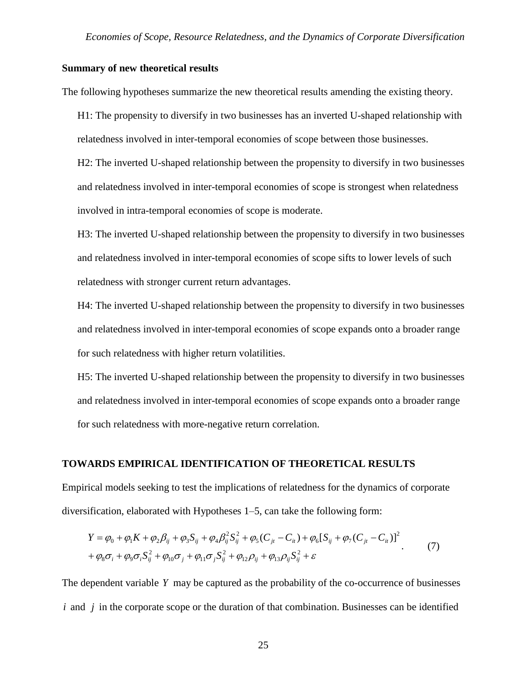### **Summary of new theoretical results**

The following hypotheses summarize the new theoretical results amending the existing theory.

H1: The propensity to diversify in two businesses has an inverted U-shaped relationship with relatedness involved in inter-temporal economies of scope between those businesses.

H2: The inverted U-shaped relationship between the propensity to diversify in two businesses and relatedness involved in inter-temporal economies of scope is strongest when relatedness involved in intra-temporal economies of scope is moderate.

H3: The inverted U-shaped relationship between the propensity to diversify in two businesses and relatedness involved in inter-temporal economies of scope sifts to lower levels of such relatedness with stronger current return advantages.

H4: The inverted U-shaped relationship between the propensity to diversify in two businesses and relatedness involved in inter-temporal economies of scope expands onto a broader range for such relatedness with higher return volatilities.

H5: The inverted U-shaped relationship between the propensity to diversify in two businesses and relatedness involved in inter-temporal economies of scope expands onto a broader range for such relatedness with more-negative return correlation.

### **TOWARDS EMPIRICAL IDENTIFICATION OF THEORETICAL RESULTS**

Empirical models seeking to test the implications of relatedness for the dynamics of corporate diversification, elaborated with Hypotheses 1‒5, can take the following form:

$$
Y = \varphi_0 + \varphi_1 K + \varphi_2 \beta_{ij} + \varphi_3 S_{ij} + \varphi_4 \beta_{ij}^2 S_{ij}^2 + \varphi_5 (C_{jt} - C_{it}) + \varphi_6 [S_{ij} + \varphi_7 (C_{jt} - C_{it})]^2
$$
  
+  $\varphi_8 \sigma_i + \varphi_9 \sigma_i S_{ij}^2 + \varphi_{10} \sigma_j + \varphi_{11} \sigma_j S_{ij}^2 + \varphi_{12} \rho_{ij} + \varphi_{13} \rho_{ij} S_{ij}^2 + \varepsilon$  (7)

The dependent variable *Y* may be captured as the probability of the co-occurrence of businesses *i* and *j* in the corporate scope or the duration of that combination. Businesses can be identified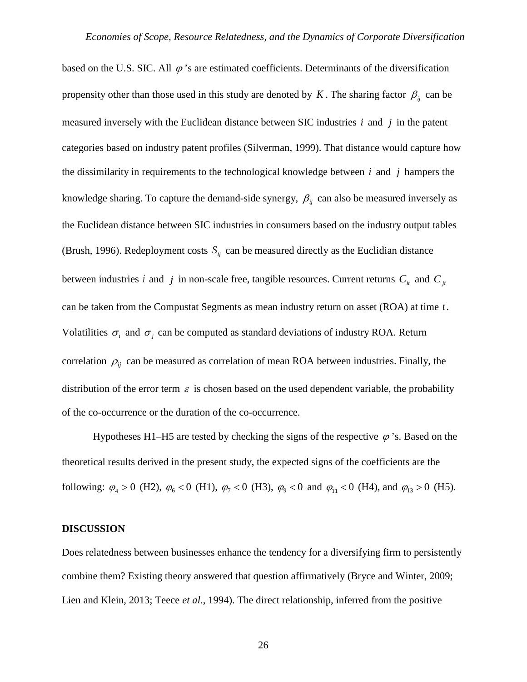based on the U.S. SIC. All  $\varphi$ 's are estimated coefficients. Determinants of the diversification propensity other than those used in this study are denoted by *K*. The sharing factor  $\beta_{ij}$  can be measured inversely with the Euclidean distance between SIC industries *i* and *j* in the patent categories based on industry patent profiles (Silverman, 1999). That distance would capture how the dissimilarity in requirements to the technological knowledge between *i* and *j* hampers the knowledge sharing. To capture the demand-side synergy,  $\beta_{ij}$  can also be measured inversely as the Euclidean distance between SIC industries in consumers based on the industry output tables (Brush, 1996). Redeployment costs  $S_{ij}$  can be measured directly as the Euclidian distance between industries *i* and *j* in non-scale free, tangible resources. Current returns  $C_i$  and  $C_j$ can be taken from the Compustat Segments as mean industry return on asset (ROA) at time *t* . Volatilities  $\sigma_i$  and  $\sigma_j$  can be computed as standard deviations of industry ROA. Return correlation  $\rho_{ii}$  can be measured as correlation of mean ROA between industries. Finally, the distribution of the error term  $\varepsilon$  is chosen based on the used dependent variable, the probability of the co-occurrence or the duration of the co-occurrence.

Hypotheses H1–H5 are tested by checking the signs of the respective  $\varphi$ 's. Based on the theoretical results derived in the present study, the expected signs of the coefficients are the following:  $\varphi_4 > 0$  (H2),  $\varphi_6 < 0$  (H1),  $\varphi_7 < 0$  (H3),  $\varphi_9 < 0$  and  $\varphi_{11} < 0$  (H4), and  $\varphi_{13} > 0$  (H5).

#### **DISCUSSION**

Does relatedness between businesses enhance the tendency for a diversifying firm to persistently combine them? Existing theory answered that question affirmatively (Bryce and Winter, 2009; Lien and Klein, 2013; Teece *et al*., 1994). The direct relationship, inferred from the positive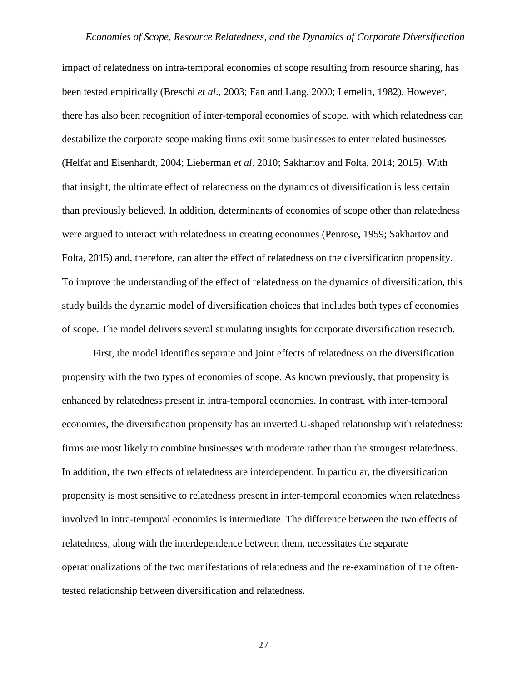impact of relatedness on intra-temporal economies of scope resulting from resource sharing, has been tested empirically (Breschi *et al*., 2003; Fan and Lang, 2000; Lemelin, 1982). However, there has also been recognition of inter-temporal economies of scope, with which relatedness can destabilize the corporate scope making firms exit some businesses to enter related businesses (Helfat and Eisenhardt, 2004; Lieberman *et al*. 2010; Sakhartov and Folta, 2014; 2015). With that insight, the ultimate effect of relatedness on the dynamics of diversification is less certain than previously believed. In addition, determinants of economies of scope other than relatedness were argued to interact with relatedness in creating economies (Penrose, 1959; Sakhartov and Folta, 2015) and, therefore, can alter the effect of relatedness on the diversification propensity. To improve the understanding of the effect of relatedness on the dynamics of diversification, this study builds the dynamic model of diversification choices that includes both types of economies of scope. The model delivers several stimulating insights for corporate diversification research.

First, the model identifies separate and joint effects of relatedness on the diversification propensity with the two types of economies of scope. As known previously, that propensity is enhanced by relatedness present in intra-temporal economies. In contrast, with inter-temporal economies, the diversification propensity has an inverted U-shaped relationship with relatedness: firms are most likely to combine businesses with moderate rather than the strongest relatedness. In addition, the two effects of relatedness are interdependent. In particular, the diversification propensity is most sensitive to relatedness present in inter-temporal economies when relatedness involved in intra-temporal economies is intermediate. The difference between the two effects of relatedness, along with the interdependence between them, necessitates the separate operationalizations of the two manifestations of relatedness and the re-examination of the oftentested relationship between diversification and relatedness.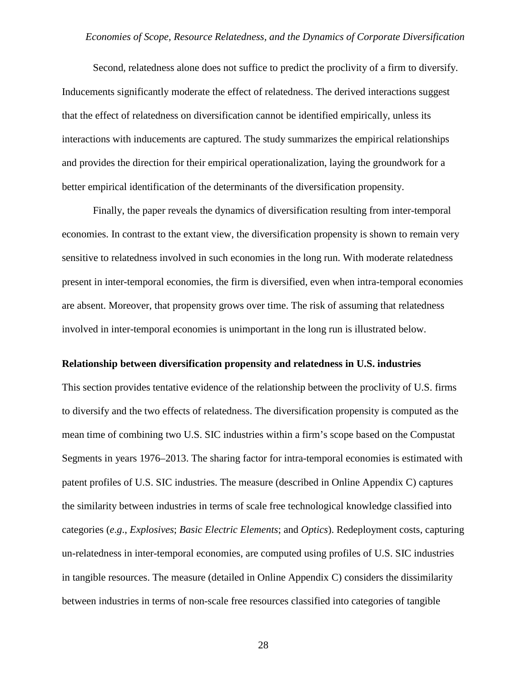Second, relatedness alone does not suffice to predict the proclivity of a firm to diversify. Inducements significantly moderate the effect of relatedness. The derived interactions suggest that the effect of relatedness on diversification cannot be identified empirically, unless its interactions with inducements are captured. The study summarizes the empirical relationships and provides the direction for their empirical operationalization, laying the groundwork for a better empirical identification of the determinants of the diversification propensity.

Finally, the paper reveals the dynamics of diversification resulting from inter-temporal economies. In contrast to the extant view, the diversification propensity is shown to remain very sensitive to relatedness involved in such economies in the long run. With moderate relatedness present in inter-temporal economies, the firm is diversified, even when intra-temporal economies are absent. Moreover, that propensity grows over time. The risk of assuming that relatedness involved in inter-temporal economies is unimportant in the long run is illustrated below.

#### **Relationship between diversification propensity and relatedness in U.S. industries**

This section provides tentative evidence of the relationship between the proclivity of U.S. firms to diversify and the two effects of relatedness. The diversification propensity is computed as the mean time of combining two U.S. SIC industries within a firm's scope based on the Compustat Segments in years 1976–2013. The sharing factor for intra-temporal economies is estimated with patent profiles of U.S. SIC industries. The measure (described in Online Appendix C) captures the similarity between industries in terms of scale free technological knowledge classified into categories (*e*.*g*., *Explosives*; *Basic Electric Elements*; and *Optics*). Redeployment costs, capturing un-relatedness in inter-temporal economies, are computed using profiles of U.S. SIC industries in tangible resources. The measure (detailed in Online Appendix C) considers the dissimilarity between industries in terms of non-scale free resources classified into categories of tangible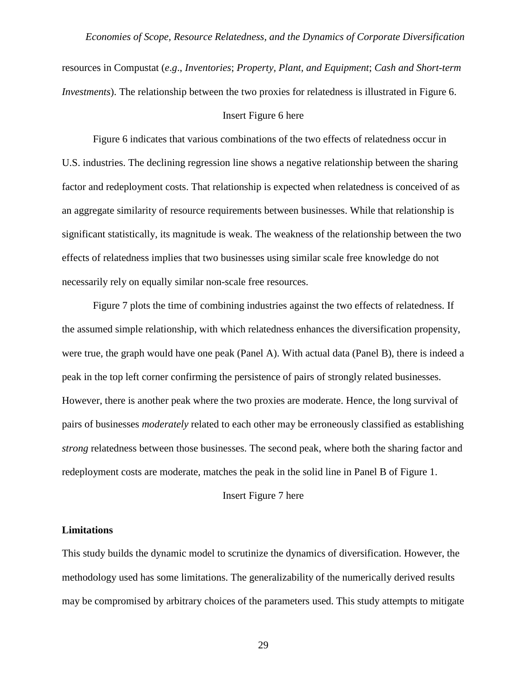resources in Compustat (*e*.*g*., *Inventories*; *Property, Plant, and Equipment*; *Cash and Short-term Investments*). The relationship between the two proxies for relatedness is illustrated in Figure 6.

### Insert Figure 6 here

Figure 6 indicates that various combinations of the two effects of relatedness occur in U.S. industries. The declining regression line shows a negative relationship between the sharing factor and redeployment costs. That relationship is expected when relatedness is conceived of as an aggregate similarity of resource requirements between businesses. While that relationship is significant statistically, its magnitude is weak. The weakness of the relationship between the two effects of relatedness implies that two businesses using similar scale free knowledge do not necessarily rely on equally similar non-scale free resources.

Figure 7 plots the time of combining industries against the two effects of relatedness. If the assumed simple relationship, with which relatedness enhances the diversification propensity, were true, the graph would have one peak (Panel A). With actual data (Panel B), there is indeed a peak in the top left corner confirming the persistence of pairs of strongly related businesses. However, there is another peak where the two proxies are moderate. Hence, the long survival of pairs of businesses *moderately* related to each other may be erroneously classified as establishing *strong* relatedness between those businesses. The second peak, where both the sharing factor and redeployment costs are moderate, matches the peak in the solid line in Panel B of Figure 1.

#### Insert Figure 7 here

#### **Limitations**

This study builds the dynamic model to scrutinize the dynamics of diversification. However, the methodology used has some limitations. The generalizability of the numerically derived results may be compromised by arbitrary choices of the parameters used. This study attempts to mitigate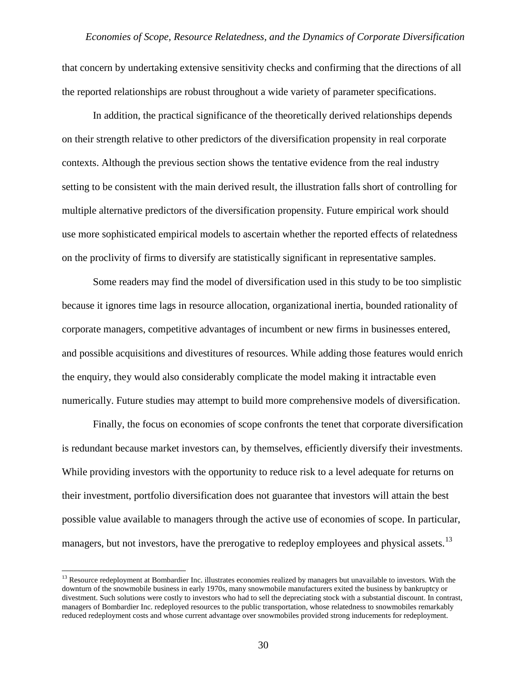that concern by undertaking extensive sensitivity checks and confirming that the directions of all the reported relationships are robust throughout a wide variety of parameter specifications.

In addition, the practical significance of the theoretically derived relationships depends on their strength relative to other predictors of the diversification propensity in real corporate contexts. Although the previous section shows the tentative evidence from the real industry setting to be consistent with the main derived result, the illustration falls short of controlling for multiple alternative predictors of the diversification propensity. Future empirical work should use more sophisticated empirical models to ascertain whether the reported effects of relatedness on the proclivity of firms to diversify are statistically significant in representative samples.

Some readers may find the model of diversification used in this study to be too simplistic because it ignores time lags in resource allocation, organizational inertia, bounded rationality of corporate managers, competitive advantages of incumbent or new firms in businesses entered, and possible acquisitions and divestitures of resources. While adding those features would enrich the enquiry, they would also considerably complicate the model making it intractable even numerically. Future studies may attempt to build more comprehensive models of diversification.

Finally, the focus on economies of scope confronts the tenet that corporate diversification is redundant because market investors can, by themselves, efficiently diversify their investments. While providing investors with the opportunity to reduce risk to a level adequate for returns on their investment, portfolio diversification does not guarantee that investors will attain the best possible value available to managers through the active use of economies of scope. In particular, managers, but not investors, have the prerogative to redeploy employees and physical assets.<sup>[13](#page-29-0)</sup>

<span id="page-29-0"></span><sup>&</sup>lt;sup>13</sup> Resource redeployment at Bombardier Inc. illustrates economies realized by managers but unavailable to investors. With the downturn of the snowmobile business in early 1970s, many snowmobile manufacturers exited the business by bankruptcy or divestment. Such solutions were costly to investors who had to sell the depreciating stock with a substantial discount. In contrast, managers of Bombardier Inc. redeployed resources to the public transportation, whose relatedness to snowmobiles remarkably reduced redeployment costs and whose current advantage over snowmobiles provided strong inducements for redeployment.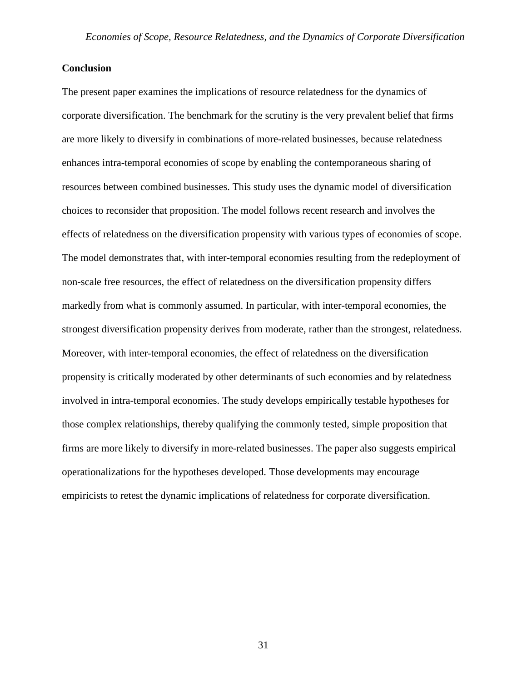## **Conclusion**

The present paper examines the implications of resource relatedness for the dynamics of corporate diversification. The benchmark for the scrutiny is the very prevalent belief that firms are more likely to diversify in combinations of more-related businesses, because relatedness enhances intra-temporal economies of scope by enabling the contemporaneous sharing of resources between combined businesses. This study uses the dynamic model of diversification choices to reconsider that proposition. The model follows recent research and involves the effects of relatedness on the diversification propensity with various types of economies of scope. The model demonstrates that, with inter-temporal economies resulting from the redeployment of non-scale free resources, the effect of relatedness on the diversification propensity differs markedly from what is commonly assumed. In particular, with inter-temporal economies, the strongest diversification propensity derives from moderate, rather than the strongest, relatedness. Moreover, with inter-temporal economies, the effect of relatedness on the diversification propensity is critically moderated by other determinants of such economies and by relatedness involved in intra-temporal economies. The study develops empirically testable hypotheses for those complex relationships, thereby qualifying the commonly tested, simple proposition that firms are more likely to diversify in more-related businesses. The paper also suggests empirical operationalizations for the hypotheses developed. Those developments may encourage empiricists to retest the dynamic implications of relatedness for corporate diversification.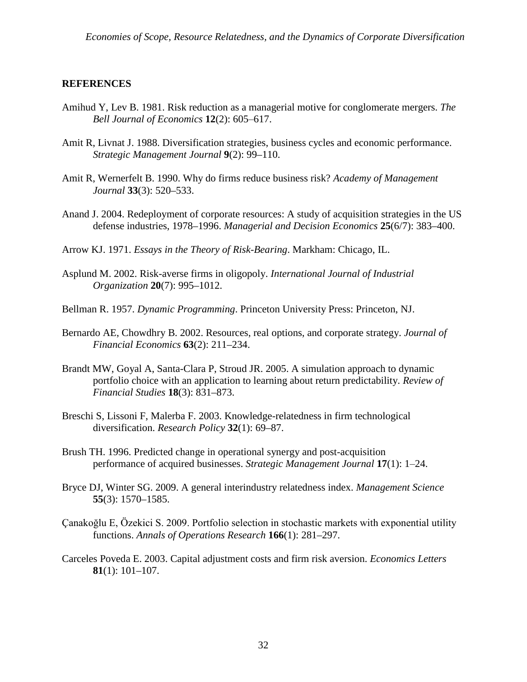### **REFERENCES**

- Amihud Y, Lev B. 1981. Risk reduction as a managerial motive for conglomerate mergers. *The Bell Journal of Economics* **12**(2): 605‒617.
- Amit R, Livnat J. 1988. Diversification strategies, business cycles and economic performance. *Strategic Management Journal* **9**(2): 99–110.
- Amit R, Wernerfelt B. 1990. Why do firms reduce business risk? *Academy of Management Journal* **33**(3): 520–533.
- Anand J. 2004. Redeployment of corporate resources: A study of acquisition strategies in the US defense industries, 1978–1996. *Managerial and Decision Economics* **25**(6/7): 383–400.
- Arrow KJ. 1971. *Essays in the Theory of Risk-Bearing*. Markham: Chicago, IL.
- Asplund M. 2002. Risk-averse firms in oligopoly. *International Journal of Industrial Organization* **20**(7): 995–1012.
- Bellman R. 1957. *Dynamic Programming*. Princeton University Press: Princeton, NJ.
- Bernardo AE, Chowdhry B. 2002. Resources, real options, and corporate strategy. *Journal of Financial Economics* **63**(2): 211–234.
- Brandt MW, Goyal A, Santa-Clara P, Stroud JR. 2005. A simulation approach to dynamic portfolio choice with an application to learning about return predictability. *Review of Financial Studies* **18**(3): 831–873.
- Breschi S, Lissoni F, Malerba F. 2003. Knowledge-relatedness in firm technological diversification. *Research Policy* **32**(1): 69–87.
- Brush TH. 1996. Predicted change in operational synergy and post-acquisition performance of acquired businesses. *Strategic Management Journal* **17**(1): 1‒24.
- Bryce DJ, Winter SG. 2009. A general interindustry relatedness index. *Management Science* **55**(3): 1570–1585.
- Çanakoğlu E, Özekici S. 2009. Portfolio selection in stochastic markets with exponential utility functions. *Annals of Operations Research* **166**(1): 281–297.
- Carceles Poveda E. 2003. Capital adjustment costs and firm risk aversion. *Economics Letters* **81**(1): 101–107.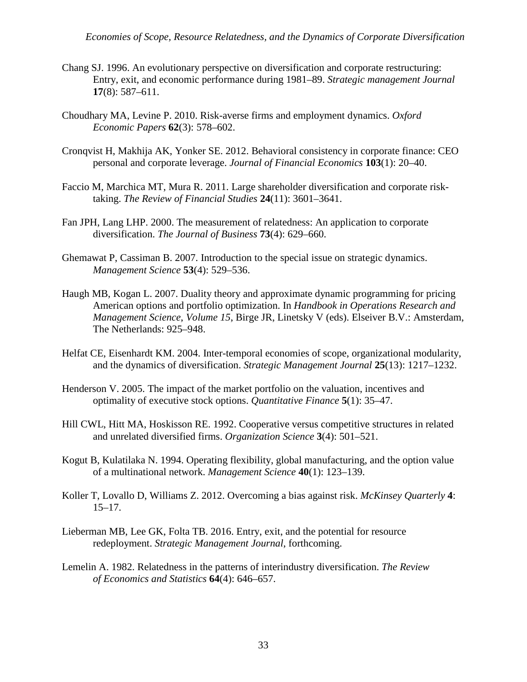- Chang SJ. 1996. An evolutionary perspective on diversification and corporate restructuring: Entry, exit, and economic performance during 1981–89. *Strategic management Journal*  **17**(8): 587–611.
- Choudhary MA, Levine P. 2010. Risk-averse firms and employment dynamics. *Oxford Economic Papers* **62**(3): 578–602.
- Cronqvist H, Makhija AK, Yonker SE. 2012. Behavioral consistency in corporate finance: CEO personal and corporate leverage. *Journal of Financial Economics* **103**(1): 20–40.
- Faccio M, Marchica MT, Mura R. 2011. Large shareholder diversification and corporate risktaking. *The Review of Financial Studies* **24**(11): 3601–3641.
- Fan JPH, Lang LHP. 2000. The measurement of relatedness: An application to corporate diversification. *The Journal of Business* **73**(4): 629–660.
- Ghemawat P, Cassiman B. 2007. Introduction to the special issue on strategic dynamics. *Management Science* **53**(4): 529–536.
- Haugh MB, Kogan L. 2007. Duality theory and approximate dynamic programming for pricing American options and portfolio optimization. In *Handbook in Operations Research and Management Science*, *Volume 15*, Birge JR, Linetsky V (eds). Elseiver B.V.: Amsterdam, The Netherlands: 925–948.
- Helfat CE, Eisenhardt KM. 2004. Inter-temporal economies of scope, organizational modularity, and the dynamics of diversification. *Strategic Management Journal* **25**(13): 1217–1232.
- Henderson V. 2005. The impact of the market portfolio on the valuation, incentives and optimality of executive stock options. *Quantitative Finance* **5**(1): 35–47.
- Hill CWL, Hitt MA, Hoskisson RE. 1992. Cooperative versus competitive structures in related and unrelated diversified firms. *Organization Science* **3**(4): 501–521.
- Kogut B, Kulatilaka N. 1994. Operating flexibility, global manufacturing, and the option value of a multinational network. *Management Science* **40**(1): 123–139.
- Koller T, Lovallo D, Williams Z. 2012. Overcoming a bias against risk. *McKinsey Quarterly* **4**: 15–17.
- Lieberman MB, Lee GK, Folta TB. 2016. Entry, exit, and the potential for resource redeployment. *Strategic Management Journal*, forthcoming.
- Lemelin A. 1982. Relatedness in the patterns of interindustry diversification. *The Review of Economics and Statistics* **64**(4): 646–657.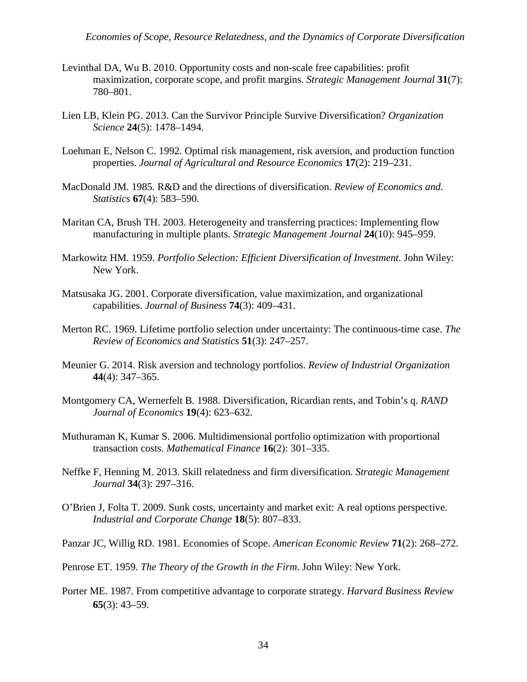- Levinthal DA, Wu B. 2010. Opportunity costs and non-scale free capabilities: profit maximization, corporate scope, and profit margins. *Strategic Management Journal* **31**(7): 780–801.
- Lien LB, Klein PG. 2013. Can the Survivor Principle Survive Diversification? *Organization Science* **24**(5): 1478–1494.
- Loehman E, Nelson C. 1992. Optimal risk management, risk aversion, and production function properties. *Journal of Agricultural and Resource Economics* **17**(2): 219–231.
- MacDonald JM. 1985. R&D and the directions of diversification. *Review of Economics and. Statistics* **67**(4): 583–590.
- Maritan CA, Brush TH. 2003. Heterogeneity and transferring practices: Implementing flow manufacturing in multiple plants. *Strategic Management Journal* **24**(10): 945–959.
- Markowitz HM. 1959. *Portfolio Selection: Efficient Diversification of Investment*. John Wiley: New York.
- Matsusaka JG. 2001. Corporate diversification, value maximization, and organizational capabilities. *Journal of Business* **74**(3): 409–431.
- Merton RC. 1969. Lifetime portfolio selection under uncertainty: The continuous-time case. *The Review of Economics and Statistics* **51**(3): 247–257.
- Meunier G. 2014. Risk aversion and technology portfolios. *Review of Industrial Organization* **44**(4): 347–365.
- Montgomery CA, Wernerfelt B. 1988. Diversification, Ricardian rents, and Tobin's q. *RAND Journal of Economics* **19**(4): 623–632.
- Muthuraman K, Kumar S. 2006. Multidimensional portfolio optimization with proportional transaction costs. *Mathematical Finance* **16**(2): 301–335.
- Neffke F, Henning M. 2013. Skill relatedness and firm diversification. *Strategic Management Journal* **34**(3): 297–316.
- O'Brien J, Folta T. 2009. Sunk costs, uncertainty and market exit: A real options perspective. *Industrial and Corporate Change* **18**(5): 807–833.
- Panzar JC, Willig RD. 1981. Economies of Scope. *American Economic Review* **71**(2): 268–272.
- Penrose ET. 1959. *The Theory of the Growth in the Firm*. John Wiley: New York.
- Porter ME. 1987. From competitive advantage to corporate strategy. *Harvard Business Review* **65**(3): 43–59.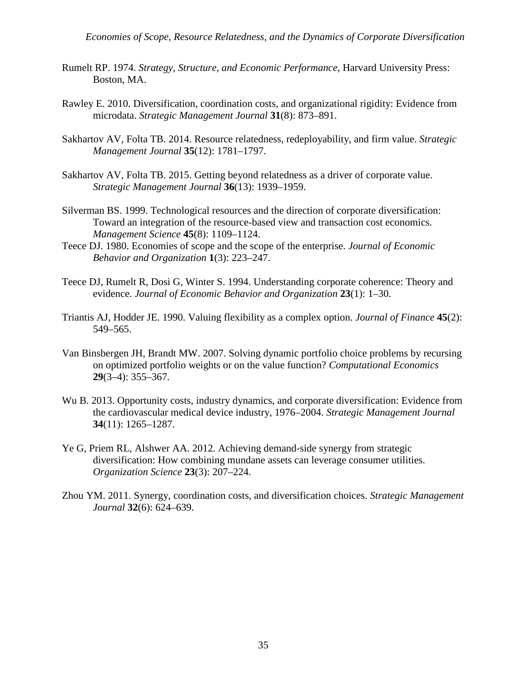- Rumelt RP. 1974. *Strategy, Structure, and Economic Performance*, Harvard University Press: Boston, MA.
- Rawley E. 2010. Diversification, coordination costs, and organizational rigidity: Evidence from microdata. *Strategic Management Journal* **31**(8): 873–891.
- Sakhartov AV, Folta TB. 2014. Resource relatedness, redeployability, and firm value. *Strategic Management Journal* **35**(12): 1781–1797.
- Sakhartov AV, Folta TB. 2015. Getting beyond relatedness as a driver of corporate value. *Strategic Management Journal* **36**(13): 1939–1959.
- Silverman BS. 1999. Technological resources and the direction of corporate diversification: Toward an integration of the resource-based view and transaction cost economics. *Management Science* **45**(8): 1109–1124.
- Teece DJ. 1980. Economies of scope and the scope of the enterprise. *Journal of Economic Behavior and Organization* **1**(3): 223–247.
- Teece DJ, Rumelt R, Dosi G, Winter S. 1994. Understanding corporate coherence: Theory and evidence. *Journal of Economic Behavior and Organization* **23**(1): 1–30.
- Triantis AJ, Hodder JE. 1990. Valuing flexibility as a complex option. *Journal of Finance* **45**(2): 549–565.
- Van Binsbergen JH, Brandt MW. 2007. Solving dynamic portfolio choice problems by recursing on optimized portfolio weights or on the value function? *Computational Economics* **29**(3–4): 355–367.
- Wu B. 2013. Opportunity costs, industry dynamics, and corporate diversification: Evidence from the cardiovascular medical device industry, 1976–2004. *Strategic Management Journal* **34**(11): 1265–1287.
- Ye G, Priem RL, Alshwer AA. 2012. Achieving demand-side synergy from strategic diversification: How combining mundane assets can leverage consumer utilities. *Organization Science* **23**(3): 207–224.
- Zhou YM. 2011. Synergy, coordination costs, and diversification choices. *Strategic Management Journal* **32**(6): 624–639.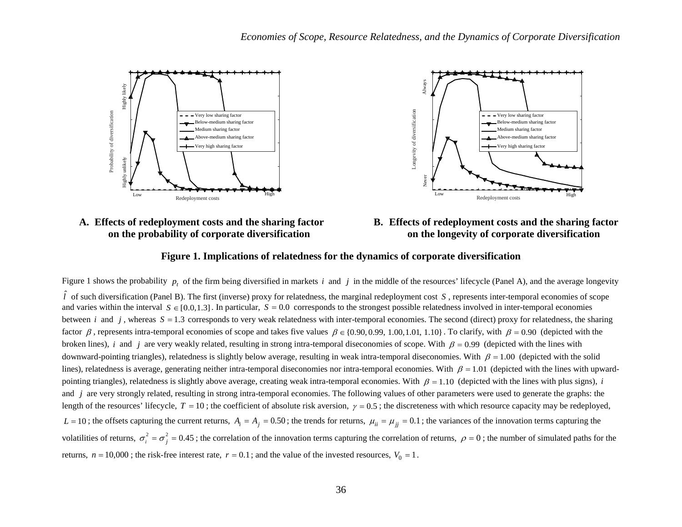





## **B. Effects of redeployment costs and the sharing factor on the longevity of corporate diversification**

### **Figure 1. Implications of relatedness for the dynamics of corporate diversification**

Figure 1 shows the probability  $p_t$  of the firm being diversified in markets *i* and *j* in the middle of the resources' lifecycle (Panel A), and the average longevity *l* ˆ of such diversification (Panel B). The first (inverse) proxy for relatedness, the marginal redeployment cost *S* , represents inter-temporal economies of scope and varies within the interval  $S \in [0.0, 1.3]$ . In particular,  $S = 0.0$  corresponds to the strongest possible relatedness involved in inter-temporal economies between *i* and *j*, whereas  $S = 1.3$  corresponds to very weak relatedness with inter-temporal economies. The second (direct) proxy for relatedness, the sharing factor  $\beta$ , represents intra-temporal economies of scope and takes five values  $\beta \in \{0.90, 0.99, 1.00, 1.01, 1.10\}$ . To clarify, with  $\beta = 0.90$  (depicted with the broken lines), *i* and *j* are very weakly related, resulting in strong intra-temporal diseconomies of scope. With  $\beta = 0.99$  (depicted with the lines with downward-pointing triangles), relatedness is slightly below average, resulting in weak intra-temporal diseconomies. With  $\beta = 1.00$  (depicted with the solid lines), relatedness is average, generating neither intra-temporal diseconomies nor intra-temporal economies. With  $\beta = 1.01$  (depicted with the lines with upwardpointing triangles), relatedness is slightly above average, creating weak intra-temporal economies. With  $\beta = 1.10$  (depicted with the lines with plus signs), *i* and *j* are very strongly related, resulting in strong intra-temporal economies. The following values of other parameters were used to generate the graphs: the length of the resources' lifecycle,  $T = 10$ ; the coefficient of absolute risk aversion,  $\gamma = 0.5$ ; the discreteness with which resource capacity may be redeployed,  $L = 10$ ; the offsets capturing the current returns,  $A_i = A_j = 0.50$ ; the trends for returns,  $\mu_{ii} = \mu_{jj} = 0.1$ ; the variances of the innovation terms capturing the volatilities of returns,  $\sigma_i^2 = \sigma_i^2 = 0.45$ ; the correlation of the innovation terms capturing the correlation of returns,  $\rho = 0$ ; the number of simulated paths for the returns,  $n = 10,000$ ; the risk-free interest rate,  $r = 0.1$ ; and the value of the invested resources,  $V_0 = 1$ .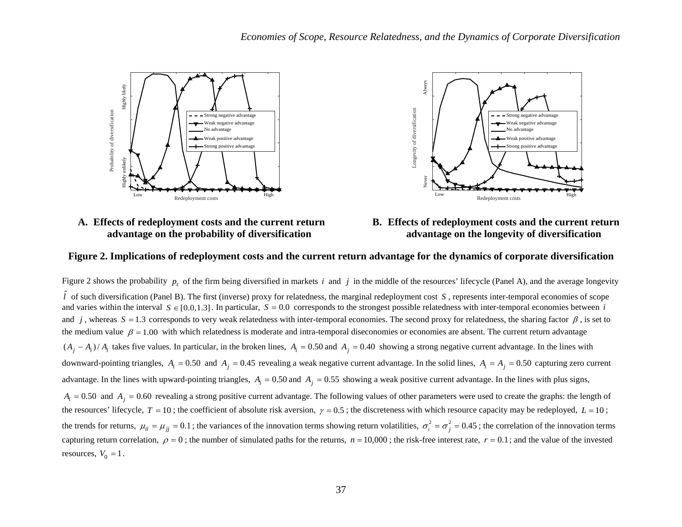

## **A. Effects of redeployment costs and the current return advantage on the probability of diversification**



**B. Effects of redeployment costs and the current return advantage on the longevity of diversification**

#### **Figure 2. Implications of redeployment costs and the current return advantage for the dynamics of corporate diversification**

Figure 2 shows the probability  $p_t$  of the firm being diversified in markets *i* and *j* in the middle of the resources' lifecycle (Panel A), and the average longevity *l* ˆ of such diversification (Panel B). The first (inverse) proxy for relatedness, the marginal redeployment cost *S* , represents inter-temporal economies of scope and varies within the interval  $S \in [0.0, 1.3]$ . In particular,  $S = 0.0$  corresponds to the strongest possible relatedness with inter-temporal economies between *i* and *j*, whereas  $S = 1.3$  corresponds to very weak relatedness with inter-temporal economies. The second proxy for relatedness, the sharing factor  $\beta$ , is set to the medium value  $\beta = 1.00$  with which relatedness is moderate and intra-temporal diseconomies or economies are absent. The current return advantage  $(A_i - A_i)/A_i$  takes five values. In particular, in the broken lines,  $A_i = 0.50$  and  $A_i = 0.40$  showing a strong negative current advantage. In the lines with downward-pointing triangles,  $A_i = 0.50$  and  $A_j = 0.45$  revealing a weak negative current advantage. In the solid lines,  $A_i = A_j = 0.50$  capturing zero current advantage. In the lines with upward-pointing triangles,  $A_i = 0.50$  and  $A_j = 0.55$  showing a weak positive current advantage. In the lines with plus signs,  $A_i = 0.50$  and  $A_i = 0.60$  revealing a strong positive current advantage. The following values of other parameters were used to create the graphs: the length of the resources' lifecycle,  $T = 10$ ; the coefficient of absolute risk aversion,  $\gamma = 0.5$ ; the discreteness with which resource capacity may be redeployed,  $L = 10$ ; the trends for returns,  $\mu_{ii} = \mu_{ii} = 0.1$ ; the variances of the innovation terms showing return volatilities,  $\sigma_i^2 = \sigma_i^2 = 0.45$ ; the correlation of the innovation terms capturing return correlation,  $\rho = 0$ ; the number of simulated paths for the returns,  $n = 10,000$ ; the risk-free interest rate,  $r = 0.1$ ; and the value of the invested resources,  $V_0 = 1$ .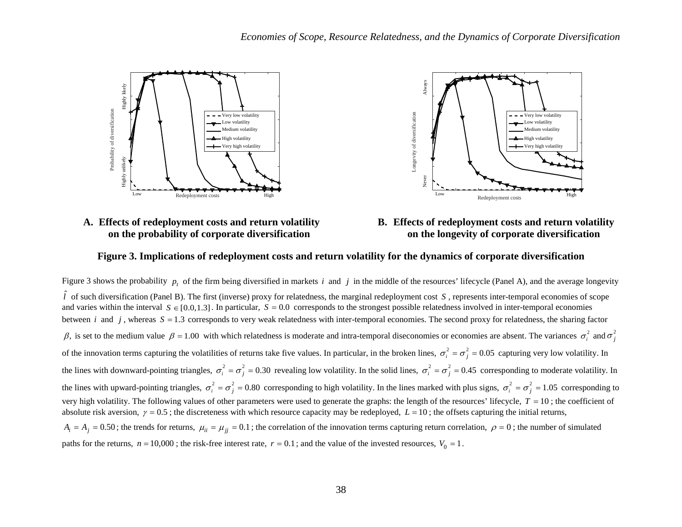

## **A. Effects of redeployment costs and return volatility on the probability of corporate diversification**



## **B. Effects of redeployment costs and return volatility on the longevity of corporate diversification**

### **Figure 3. Implications of redeployment costs and return volatility for the dynamics of corporate diversification**

Figure 3 shows the probability  $p_t$  of the firm being diversified in markets *i* and *j* in the middle of the resources' lifecycle (Panel A), and the average longevity *l* ˆ of such diversification (Panel B). The first (inverse) proxy for relatedness, the marginal redeployment cost *S* , represents inter-temporal economies of scope and varies within the interval  $S \in [0.0, 1.3]$ . In particular,  $S = 0.0$  corresponds to the strongest possible relatedness involved in inter-temporal economies between *i* and *j*, whereas  $S = 1.3$  corresponds to very weak relatedness with inter-temporal economies. The second proxy for relatedness, the sharing factor β, is set to the medium value  $β = 1.00$  with which relatedness is moderate and intra-temporal diseconomies or economies are absent. The variances  $σ<sub>i</sub><sup>2</sup>$  and  $σ<sub>j</sub><sup>2</sup>$ of the innovation terms capturing the volatilities of returns take five values. In particular, in the broken lines,  $\sigma_i^2 = \sigma_i^2 = 0.05$  capturing very low volatility. In the lines with downward-pointing triangles,  $\sigma_i^2 = \sigma_j^2 = 0.30$  revealing low volatility. In the solid lines,  $\sigma_i^2 = \sigma_j^2 = 0.45$  corresponding to moderate volatility. In the lines with upward-pointing triangles,  $\sigma_i^2 = \sigma_j^2 = 0.80$  corresponding to high volatility. In the lines marked with plus signs,  $\sigma_i^2 = \sigma_j^2 = 1.05$  corresponding to very high volatility. The following values of other parameters were used to generate the graphs: the length of the resources' lifecycle,  $T = 10$ ; the coefficient of absolute risk aversion,  $\gamma = 0.5$ ; the discreteness with which resource capacity may be redeployed,  $L = 10$ ; the offsets capturing the initial returns,  $A_i = A_j = 0.50$ ; the trends for returns,  $\mu_{ii} = \mu_{ii} = 0.1$ ; the correlation of the innovation terms capturing return correlation,  $\rho = 0$ ; the number of simulated paths for the returns,  $n = 10,000$ ; the risk-free interest rate,  $r = 0.1$ ; and the value of the invested resources,  $V_0 = 1$ .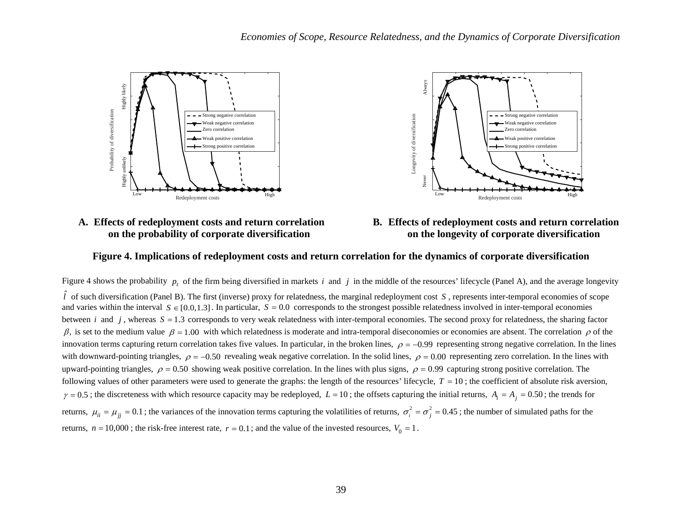

## **A. Effects of redeployment costs and return correlation on the probability of corporate diversification**



## **B. Effects of redeployment costs and return correlation on the longevity of corporate diversification**

### **Figure 4. Implications of redeployment costs and return correlation for the dynamics of corporate diversification**

Figure 4 shows the probability  $p_t$  of the firm being diversified in markets *i* and *j* in the middle of the resources' lifecycle (Panel A), and the average longevity *l* ˆ of such diversification (Panel B). The first (inverse) proxy for relatedness, the marginal redeployment cost *S* , represents inter-temporal economies of scope and varies within the interval  $S \in [0.0, 1.3]$ . In particular,  $S = 0.0$  corresponds to the strongest possible relatedness involved in inter-temporal economies between *i* and *j*, whereas  $S = 1.3$  corresponds to very weak relatedness with inter-temporal economies. The second proxy for relatedness, the sharing factor β, is set to the medium value  $β = 1.00$  with which relatedness is moderate and intra-temporal diseconomies or economies are absent. The correlation  $ρ$  of the innovation terms capturing return correlation takes five values. In particular, in the broken lines,  $\rho = -0.99$  representing strong negative correlation. In the lines with downward-pointing triangles,  $\rho = -0.50$  revealing weak negative correlation. In the solid lines,  $\rho = 0.00$  representing zero correlation. In the lines with upward-pointing triangles,  $\rho = 0.50$  showing weak positive correlation. In the lines with plus signs,  $\rho = 0.99$  capturing strong positive correlation. The following values of other parameters were used to generate the graphs: the length of the resources' lifecycle,  $T = 10$ ; the coefficient of absolute risk aversion,  $\gamma = 0.5$ ; the discreteness with which resource capacity may be redeployed,  $L = 10$ ; the offsets capturing the initial returns,  $A_i = A_j = 0.50$ ; the trends for returns,  $\mu_{ii} = \mu_{jj} = 0.1$ ; the variances of the innovation terms capturing the volatilities of returns,  $\sigma_i^2 = \sigma_j^2 = 0.45$ ; the number of simulated paths for the returns,  $n = 10,000$ ; the risk-free interest rate,  $r = 0.1$ ; and the value of the invested resources,  $V_0 = 1$ .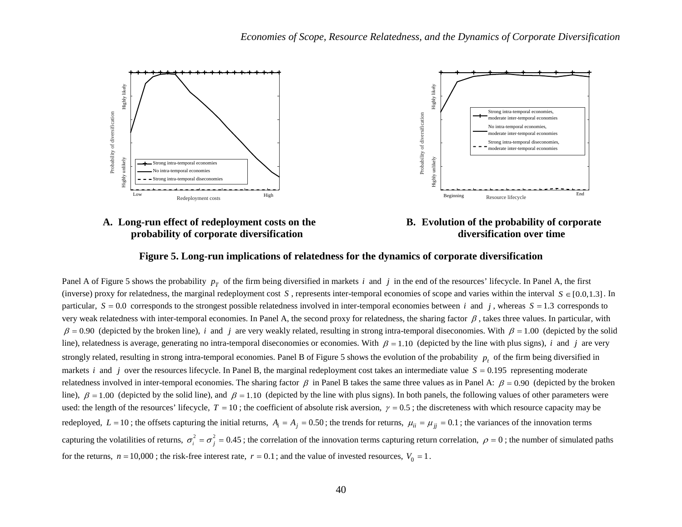

## **A. Long-run effect of redeployment costs on the probability of corporate diversification**



## **B. Evolution of the probability of corporate diversification over time**

### **Figure 5. Long-run implications of relatedness for the dynamics of corporate diversification**

Panel A of Figure 5 shows the probability  $p<sub>T</sub>$  of the firm being diversified in markets *i* and *j* in the end of the resources' lifecycle. In Panel A, the first (inverse) proxy for relatedness, the marginal redeployment cost *S*, represents inter-temporal economies of scope and varies within the interval  $S \in [0.0, 1.3]$ . In particular,  $S = 0.0$  corresponds to the strongest possible relatedness involved in inter-temporal economies between *i* and *j*, whereas  $S = 1.3$  corresponds to very weak relatedness with inter-temporal economies. In Panel A, the second proxy for relatedness, the sharing factor  $\beta$ , takes three values. In particular, with  $\beta = 0.90$  (depicted by the broken line), *i* and *j* are very weakly related, resulting in strong intra-temporal diseconomies. With  $\beta = 1.00$  (depicted by the solid line), relatedness is average, generating no intra-temporal diseconomies or economies. With  $\beta = 1.10$  (depicted by the line with plus signs), *i* and *j* are very strongly related, resulting in strong intra-temporal economies. Panel B of Figure 5 shows the evolution of the probability  $p_t$  of the firm being diversified in markets *i* and *j* over the resources lifecycle. In Panel B, the marginal redeployment cost takes an intermediate value  $S = 0.195$  representing moderate relatedness involved in inter-temporal economies. The sharing factor  $\beta$  in Panel B takes the same three values as in Panel A:  $\beta = 0.90$  (depicted by the broken line),  $\beta = 1.00$  (depicted by the solid line), and  $\beta = 1.10$  (depicted by the line with plus signs). In both panels, the following values of other parameters were used: the length of the resources' lifecycle,  $T = 10$ ; the coefficient of absolute risk aversion,  $\gamma = 0.5$ ; the discreteness with which resource capacity may be redeployed,  $L = 10$ ; the offsets capturing the initial returns,  $A_i = A_j = 0.50$ ; the trends for returns,  $\mu_{ii} = \mu_{ii} = 0.1$ ; the variances of the innovation terms capturing the volatilities of returns,  $\sigma_i^2 = \sigma_i^2 = 0.45$ ; the correlation of the innovation terms capturing return correlation,  $\rho = 0$ ; the number of simulated paths for the returns,  $n = 10,000$ ; the risk-free interest rate,  $r = 0.1$ ; and the value of invested resources,  $V_0 = 1$ .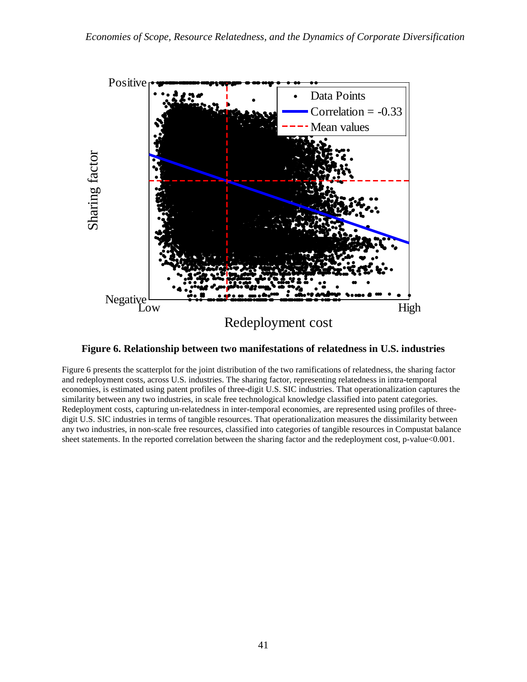

**Figure 6. Relationship between two manifestations of relatedness in U.S. industries**

Figure 6 presents the scatterplot for the joint distribution of the two ramifications of relatedness, the sharing factor and redeployment costs, across U.S. industries. The sharing factor, representing relatedness in intra-temporal economies, is estimated using patent profiles of three-digit U.S. SIC industries. That operationalization captures the similarity between any two industries, in scale free technological knowledge classified into patent categories. Redeployment costs, capturing un-relatedness in inter-temporal economies, are represented using profiles of threedigit U.S. SIC industries in terms of tangible resources. That operationalization measures the dissimilarity between any two industries, in non-scale free resources, classified into categories of tangible resources in Compustat balance sheet statements. In the reported correlation between the sharing factor and the redeployment cost, p-value<0.001.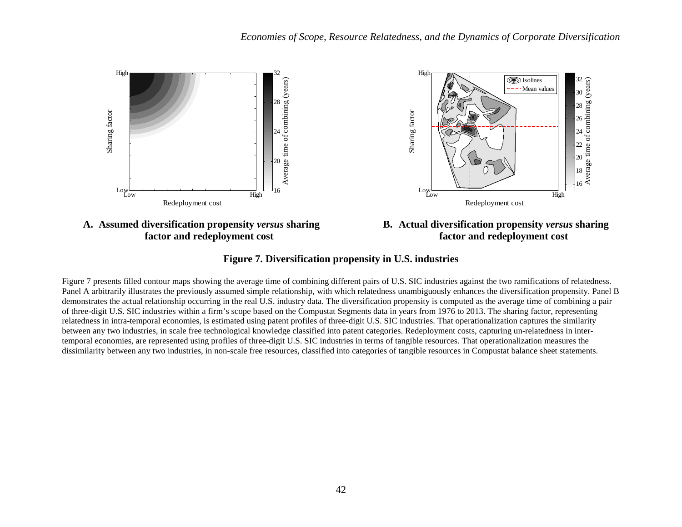

**factor and redeployment cost**



## **Figure 7. Diversification propensity in U.S. industries**

Figure 7 presents filled contour maps showing the average time of combining different pairs of U.S. SIC industries against the two ramifications of relatedness. Panel A arbitrarily illustrates the previously assumed simple relationship, with which relatedness unambiguously enhances the diversification propensity. Panel B demonstrates the actual relationship occurring in the real U.S. industry data. The diversification propensity is computed as the average time of combining a pair of three-digit U.S. SIC industries within a firm's scope based on the Compustat Segments data in years from 1976 to 2013. The sharing factor, representing relatedness in intra-temporal economies, is estimated using patent profiles of three-digit U.S. SIC industries. That operationalization captures the similarity between any two industries, in scale free technological knowledge classified into patent categories. Redeployment costs, capturing un-relatedness in intertemporal economies, are represented using profiles of three-digit U.S. SIC industries in terms of tangible resources. That operationalization measures the dissimilarity between any two industries, in non-scale free resources, classified into categories of tangible resources in Compustat balance sheet statements.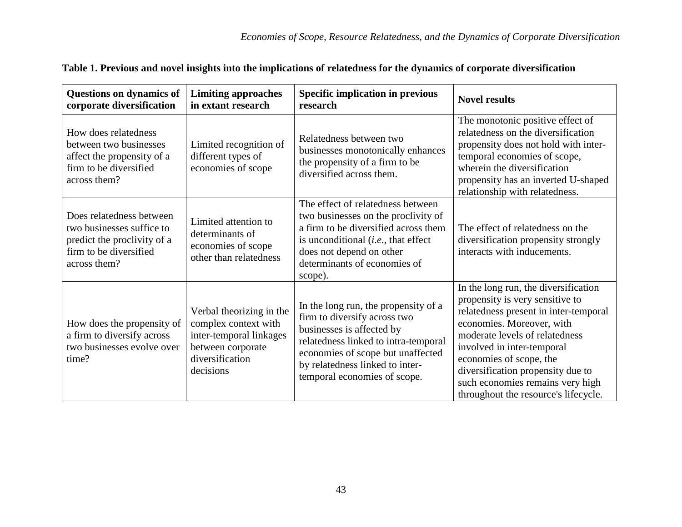| Questions on dynamics of<br>corporate diversification                                                                          | <b>Limiting approaches</b><br>in extant research                                                                                 | <b>Specific implication in previous</b><br>research                                                                                                                                                                                               | <b>Novel results</b>                                                                                                                                                                                                                                                                                                                                      |
|--------------------------------------------------------------------------------------------------------------------------------|----------------------------------------------------------------------------------------------------------------------------------|---------------------------------------------------------------------------------------------------------------------------------------------------------------------------------------------------------------------------------------------------|-----------------------------------------------------------------------------------------------------------------------------------------------------------------------------------------------------------------------------------------------------------------------------------------------------------------------------------------------------------|
| How does relatedness<br>between two businesses<br>affect the propensity of a<br>firm to be diversified<br>across them?         | Limited recognition of<br>different types of<br>economies of scope                                                               | Relatedness between two<br>businesses monotonically enhances<br>the propensity of a firm to be<br>diversified across them.                                                                                                                        | The monotonic positive effect of<br>relatedness on the diversification<br>propensity does not hold with inter-<br>temporal economies of scope,<br>wherein the diversification<br>propensity has an inverted U-shaped<br>relationship with relatedness.                                                                                                    |
| Does relatedness between<br>two businesses suffice to<br>predict the proclivity of a<br>firm to be diversified<br>across them? | Limited attention to<br>determinants of<br>economies of scope<br>other than relatedness                                          | The effect of relatedness between<br>two businesses on the proclivity of<br>a firm to be diversified across them<br>is unconditional ( <i>i.e.</i> , that effect<br>does not depend on other<br>determinants of economies of<br>scope).           | The effect of relatedness on the<br>diversification propensity strongly<br>interacts with inducements.                                                                                                                                                                                                                                                    |
| How does the propensity of<br>a firm to diversify across<br>two businesses evolve over<br>time?                                | Verbal theorizing in the<br>complex context with<br>inter-temporal linkages<br>between corporate<br>diversification<br>decisions | In the long run, the propensity of a<br>firm to diversify across two<br>businesses is affected by<br>relatedness linked to intra-temporal<br>economies of scope but unaffected<br>by relatedness linked to inter-<br>temporal economies of scope. | In the long run, the diversification<br>propensity is very sensitive to<br>relatedness present in inter-temporal<br>economies. Moreover, with<br>moderate levels of relatedness<br>involved in inter-temporal<br>economies of scope, the<br>diversification propensity due to<br>such economies remains very high<br>throughout the resource's lifecycle. |

| Table 1. Previous and novel insights into the implications of relatedness for the dynamics of corporate diversification |  |  |
|-------------------------------------------------------------------------------------------------------------------------|--|--|
|                                                                                                                         |  |  |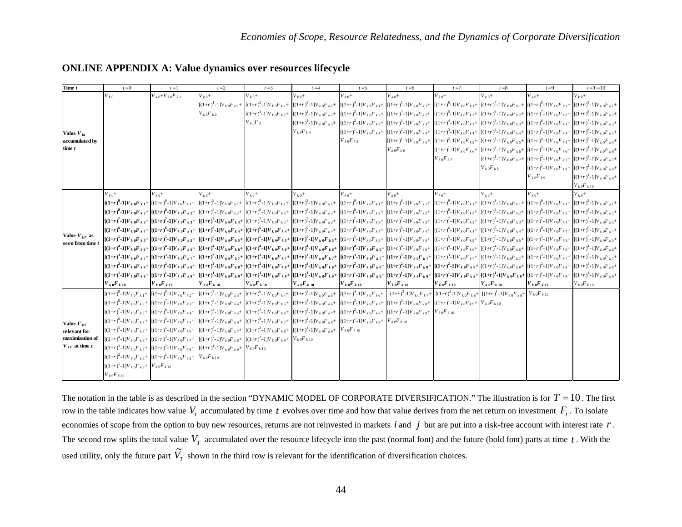| Time t                                                                          | $t=0$                                                                            | $t=1$                                                                                                               | $t=2$                | $t=3$               | $t = 4$                                                                                                                                                                                                                                                                                                                                                                                                                                                                           | $t = 5$           | $t = 6$           | $t=7$                                                                                                                                                                                                                                                                                                                  | $t=8$                | $t=9$                                                       | $t = T = 10$                                                                              |
|---------------------------------------------------------------------------------|----------------------------------------------------------------------------------|---------------------------------------------------------------------------------------------------------------------|----------------------|---------------------|-----------------------------------------------------------------------------------------------------------------------------------------------------------------------------------------------------------------------------------------------------------------------------------------------------------------------------------------------------------------------------------------------------------------------------------------------------------------------------------|-------------------|-------------------|------------------------------------------------------------------------------------------------------------------------------------------------------------------------------------------------------------------------------------------------------------------------------------------------------------------------|----------------------|-------------------------------------------------------------|-------------------------------------------------------------------------------------------|
| Value $V_{kt}$<br>accumulated by<br>time $t$                                    | $V_{k,0}$                                                                        | $V_{k,0}+V_{k,0}F_{k,1}$                                                                                            | $V_{k,0}+$           | $V_{k,0}+$          | $V_{k,0}+$                                                                                                                                                                                                                                                                                                                                                                                                                                                                        | $V_{k,0}+$        | $V_{k,0}+$        | $V_{k,0}+$                                                                                                                                                                                                                                                                                                             | $V_{k,0}+$           | $V_{k,0}+$                                                  | $V_{k,0}+$                                                                                |
|                                                                                 |                                                                                  |                                                                                                                     |                      |                     | $\left[ (1+r)^1 \cdot 1 \right] V_{k0} F_{k1} + \\ \left[ (1+r)^2 \cdot 1 \right] V_{k0} F_{k1} + \\ \left[ (1+r)^3 \cdot 1 \right] V_{k0} F_{k1} + \\ \left[ (1+r)^4 \cdot 1 \right] V_{k0} F_{k1} + \\ \left[ (1+r)^5 \cdot 1 \right] V_{k0} F_{k1} + \\ \left[ (1+r)^5 \cdot 1 \right] V_{k0} F_{k1} + \\ \left[ (1+r)^7 \cdot 1 \right] V_{k0} F_{k1} + \\ \left[ (1+r)^8 \cdot 1 \right] V_{k0} F_{k1} + \\ \left[ ($                                                        |                   |                   |                                                                                                                                                                                                                                                                                                                        |                      |                                                             |                                                                                           |
|                                                                                 |                                                                                  |                                                                                                                     | $V_{k0}F_{k2}$       |                     | $\left[ (1+r)^1 - 1 \right] V_{k} {}_0F_{k}{}_2 + \\ \left[ (1+r)^2 - 1 \right] V_{k} {}_0F_{k}{}_2 + \\ \left[ (1+r)^3 - 1 \right] V_{k} {}_0F_{k}{}_2 + \\ \left[ (1+r)^4 - 1 \right] V_{k} {}_0F_{k}{}_2 + \\ \left[ (1+r)^5 - 1 \right] V_{k} {}_0F_{k}{}_2 + \\ \left[ (1+r)^6 - 1 \right] V_{k} {}_0F_{k}{}_2 + \\ \left[ (1+r)^7 - 1 \right] V_{k} {}_0F_{k}{}_2 + \\ \left[ (1+r)^8 - $                                                                                   |                   |                   |                                                                                                                                                                                                                                                                                                                        |                      |                                                             |                                                                                           |
|                                                                                 |                                                                                  |                                                                                                                     |                      | $V_{k0}F_3$         | $[(1+r)^1\text{-}1]V_{k0}F_{k3}+\left[[(1+r)^2\text{-}1]V_{k0}F_{k3}+\left[(1+r)^3\text{-}1]V_{k0}F_{k3}+\left[(1+r)^4\text{-}1]V_{k0}F_{k3}+\left[(1+r)^5\text{-}1]V_{k0}F_{k3}+\right]\left[(1+r)^6\text{-}1]V_{k0}F_{k3}+\right]\left[(1+r)^7\text{-}1]V_{k0}F_{k3}+\left[(1+r)^7\text{-}1]V_{k0}F_{k3}+\left[(1+r)^7\text{-}1]V_{k0}F_{k3}+\right]\left[(1+r)^7\$                                                                                                             |                   |                   |                                                                                                                                                                                                                                                                                                                        |                      |                                                             |                                                                                           |
|                                                                                 |                                                                                  |                                                                                                                     |                      |                     | $V_{k0}F_{k4}$                                                                                                                                                                                                                                                                                                                                                                                                                                                                    |                   |                   | $[(1+r)^{1} \cdot 1]V_{k0}F_{k4} + [(1+r)^{2} \cdot 1]V_{k0}F_{k4} + [(1+r)^{3} \cdot 1]V_{k0}F_{k4} + [(1+r)^{4} \cdot 1]V_{k0}F_{k4} + [(1+r)^{5} \cdot 1]V_{k0}F_{k4} + [(1+r)^{6} \cdot 1]V_{k0}F_{k4}$                                                                                                            |                      |                                                             |                                                                                           |
|                                                                                 |                                                                                  |                                                                                                                     |                      |                     |                                                                                                                                                                                                                                                                                                                                                                                                                                                                                   | $V_{k0}F_{k5}$    |                   | $[(1+r)^1-1]V_{k0}F_{k5}+\big[(1+r)^2-1]V_{k0}F_{k5}+\big[(1+r)^3-1]V_{k0}F_{k5}+\big[(1+r)^4-1]V_{k0}F_{k5}+\big[(1+r)^5-1]V_{k0}F_{k5}+\big[(1+r)^5-1]V_{k0}F_{k5}+\big[(1+r)^5-1]V_{k0}F_{k5}+\big[(1+r)^5-1]V_{k0}F_{k5}+\big[(1+r)^5-1]V_{k0}F_{k5}+\big[(1+r)^5-1]V_{k0}F_{k5}+\big[(1+r)^5-1]V_{k0}F_{k5}+\big$ |                      |                                                             |                                                                                           |
|                                                                                 |                                                                                  |                                                                                                                     |                      |                     |                                                                                                                                                                                                                                                                                                                                                                                                                                                                                   |                   | $V_{k0}F_{k6}$    | $[(1+r)^{1}-1]V_{k0}F_{k6} + [(1+r)^{2}-1]V_{k0}F_{k6} + [(1+r)^{3}-1]V_{k0}F_{k6} + [(1+r)^{4}-1]V_{k0}F_{k6} +$                                                                                                                                                                                                      |                      |                                                             |                                                                                           |
|                                                                                 |                                                                                  |                                                                                                                     |                      |                     |                                                                                                                                                                                                                                                                                                                                                                                                                                                                                   |                   |                   | $V_{k0}F_{k7}$                                                                                                                                                                                                                                                                                                         |                      |                                                             | $[(1+r)^{1}-1]V_{k0}F_{k7}$ + $[(1+r)^{2}-1]V_{k0}F_{k7}$ + $[(1+r)^{3}-1]V_{k0}F_{k7}$ + |
|                                                                                 |                                                                                  |                                                                                                                     |                      |                     |                                                                                                                                                                                                                                                                                                                                                                                                                                                                                   |                   |                   |                                                                                                                                                                                                                                                                                                                        | $V_{k0}F_{k8}$       | $[(1+r)^{1}-1]V_{k0}F_{k8}$ + $[(1+r)^{2}-1]V_{k0}F_{k8}$ + |                                                                                           |
|                                                                                 |                                                                                  |                                                                                                                     |                      |                     |                                                                                                                                                                                                                                                                                                                                                                                                                                                                                   |                   |                   |                                                                                                                                                                                                                                                                                                                        |                      | $V_{k0}F_{k9}$                                              | $[(1+r)^{1}-1]V_{k0}F_{k9}+$                                                              |
|                                                                                 |                                                                                  |                                                                                                                     |                      |                     |                                                                                                                                                                                                                                                                                                                                                                                                                                                                                   |                   |                   |                                                                                                                                                                                                                                                                                                                        |                      |                                                             | $V_{k0}F_{k10}$                                                                           |
| Value $V_{kT}$ as<br>seen from time t                                           | $V_{k,0}+$                                                                       | $V_{k,0}+$                                                                                                          | $V_{k,0}+$           | $V_{k,0}+$          | $V_{k,0}+$                                                                                                                                                                                                                                                                                                                                                                                                                                                                        | $V_{k,0}+$        | $V_{k,0}+$        | $V_{k,0}+$                                                                                                                                                                                                                                                                                                             | $V_{k,0}+$           | $V_{k,0}+$                                                  | $V_{k,0}+$                                                                                |
|                                                                                 |                                                                                  |                                                                                                                     |                      |                     | ${\left[ (1+r)^{9} \cdot 1 \right] V_{k}}_0F_{k} + \nonumber \\ {\left[ ((1+r)^{9} \cdot 1) V_{k}}_0F_{k} + \right. \\ {\left. \left. \left. \left. \left. \left. \right  \right  V_{k}}_0F_{k} + \right. \right. \right. \\ {\left. \left. \left. \left. \left. \right  V_{k}}_0F_{k} + \right. \right. \right. \\ {\left. \left. \left. \left. \left( (1+r)^{9} \cdot 1 \right) V_{k}}_0F_{k} + \right. \right. \right. \\ {\left. \left. \left. \left. \left( (1+r)^{9} \cdot$ |                   |                   |                                                                                                                                                                                                                                                                                                                        |                      |                                                             |                                                                                           |
|                                                                                 |                                                                                  |                                                                                                                     |                      |                     | ${\left[ (1+r)^8 \cdot 1 \right] V_k} {}_0F_{k\,2} + \\ {\left[ (1+r)^8 \cdot 1 \right] V_k} {}_0F_{k\,2} + \\ {\left[ (1+r)^8 \cdot 1 \right] V_k} {}_0F_{k\,2} + \\ {\left[ (1+r)^8 \cdot 1 \right] V_k} {}_0F_{k\,2} + \\ {\left[ (1+r)^8 \cdot 1 \right] V_k} {}_0F_{k\,2} + \\ {\left[ (1+r)^8 \cdot 1 \right] V_k} {}_0F_{k\,2} + \\ {\left[ (1+r)^8 \cdot 1 \right] V_k} {}_0F_{k\,2} + \\ {\left[ (1+r)^8 \cdot$                                                          |                   |                   |                                                                                                                                                                                                                                                                                                                        |                      |                                                             |                                                                                           |
|                                                                                 |                                                                                  |                                                                                                                     |                      |                     | $[(1+r)^7\cdot 1]V_{k\,0}F_{k\,3} + [(1+r)^7\cdot 1]V_{k\,0}F_{k\,3} + [(1+r)^7\cdot 1]V_{k\,0}F_{k\,3} + [(1+r)^7\cdot 1]V_{k\,0}F_{k\,3} + [(1+r)^7\cdot 1]V_{k\,0}F_{k\,3} + [(1+r)^7\cdot 1]V_{k\,0}F_{k\,3} + [(1+r)^7\cdot 1]V_{k\,0}F_{k\,3} + [(1+r)^7\cdot 1]V_{k\,0}F_{k\,3} + [(1+r)^7\cdot 1]V_{k\,0}F_{k$                                                                                                                                                            |                   |                   |                                                                                                                                                                                                                                                                                                                        |                      |                                                             |                                                                                           |
|                                                                                 |                                                                                  |                                                                                                                     |                      |                     | ${\bf \Large [}(1+r)^6-1]V_{~k\,0}F_{~k\,4}+\left[(1+r)^6-1]V_{~k\,0}F_{~k\,4}+\left[(1+r)^6-1]V_{~k\,0}F_{~k\,4}+\left[(1+r)^6-1]V_{~k\,0}F_{~k\,4}+\left[(1+r)^6-1]V_{~k\,0}F_{~k\,4}+\right]\left[(1+r)^6-1]V_{~k\,0}F_{~k\,4}+\right]\left[(1+r)^6-1]V_{~k\,0}F_{~k\,4}+\left[(1+r)^6-1]V_{~k\,0}F_{~k\,4}+\left[(1+r$                                                                                                                                                        |                   |                   |                                                                                                                                                                                                                                                                                                                        |                      |                                                             |                                                                                           |
|                                                                                 |                                                                                  |                                                                                                                     |                      |                     | ${\left[ (1+r)^5 \cdot 1 \right] V_{k\,0}F_{k\,5} + \left[ ( (1+r)^5 \cdot 1 \right] V_{k\,0}F_{k\,5} + \left[ (1+r)^5 \cdot 1 \right] V_{k\,0}F_{k\,5} + \left[ (1+r)^5 \cdot 1 \right] V_{k\,0}F_{k\,5} + \left[ (1+r)^5 \cdot 1 \right] V_{k\,0}F_{k\,5} + \left[ (1+r)^5 \cdot 1 \right] V_{k\,0}F_{k\,5} + \left[ (1+r)^5 \cdot 1 \right] V_{k\,0}F_{k\,5} + \left[ (1+r)^5 \$                                                                                               |                   |                   |                                                                                                                                                                                                                                                                                                                        |                      |                                                             |                                                                                           |
|                                                                                 |                                                                                  |                                                                                                                     |                      |                     | $\left[ (1+r)^4 \cdot 1] V_{k\, 6} F_{k\, 6^+} \right] \left[ (1+r)^4 \cdot 1] V_{k\, 0} F_{k\, 6^+} \right] \left[ (1+r)^4 \cdot 1] V_{k\, 0} F_{k\, 6^+} \right] \left[ (1+r)^4 \cdot 1] V_{k\, 0} F_{k\, 6^+} \right] \left[ (1+r)^4 \cdot 1] V_{k\, 0} F_{k\, 6^+} \right] \left[ (1+r)^4 \cdot 1] V_{k\, 0} F_{k\, 6^+} \right] \left[ (1+r)^4 \cdot 1] V_{k$                                                                                                                |                   |                   |                                                                                                                                                                                                                                                                                                                        |                      |                                                             |                                                                                           |
|                                                                                 |                                                                                  |                                                                                                                     |                      |                     | $[(1+r)^3 \cdot 1] V_{~k} {}_0F_{~k}{}_7 + \left[ [(1+r)^3 \cdot 1] V_{~k} {}_0F_{~k}{}_7 + \left[ [(1+r)^3 \cdot 1] V_{~k} {}_0F_{~k}{}_7 + \left[ [(1+r)^3 \cdot 1] V_{~k} {}_0F_{~k}{}_7 + \left[ [(1+r)^3 \cdot 1] V_{~k} {}_0F_{~k}{}_7 + \left[ [(1+r)^3 \cdot 1] V_{~k} {}_0F_{~k}{}_7 + \left[ [(1+r)^3 \cdot 1] V_{~k} {}_0F_{~k}{}_7 + \left[ [(1+r)^3 \cdot 1]$                                                                                                        |                   |                   |                                                                                                                                                                                                                                                                                                                        |                      |                                                             |                                                                                           |
|                                                                                 |                                                                                  |                                                                                                                     |                      |                     | ${\left[ (1+r)^2 \cdot 1 \right] V_{k\,0}F_{k\,8} + \left[ [(1+r)^2 \cdot 1] V_{k\,0}F_{k\,8} + \left[ [(1+r)^2 \cdot 1] V_{k\,0}F_{k\,8} + \left[ [(1+r)^2 \cdot 1] V_{k\,0}F_{k\,8} + \left[ [(1+r)^2 \cdot 1] V_{k\,0}F_{k\,8} + \left[ [(1+r)^2 \cdot 1] V_{k\,0}F_{k\,8} + \left[ [(1+r)^2 \cdot 1] V_{k\,0}F_{k\,8} + \left[ [(1+r)^2 \cdot 1] V_{k\,0}F_{$                                                                                                                 |                   |                   |                                                                                                                                                                                                                                                                                                                        |                      |                                                             |                                                                                           |
|                                                                                 |                                                                                  |                                                                                                                     |                      |                     | $[(1+r)^1\text{-}1]V_{k\,0}F_{k\,3} + [(1+r)^1\text{-}1]V_{k\,0}F_{k\,9} + [(1+r)^1\text{-}1]V_{k\,0}F_{k\,9} + [(1+r)^1\text{-}1]V_{k\,0}F_{k\,9} + [(1+r)^1\text{-}1]V_{k\,0}F_{k\,9} + [(1+r)^1\text{-}1]V_{k\,0}F_{k\,9} + [(1+r)^1\text{-}1]V_{k\,0}F_{k\,9} + [(1+r)^1\text{-}1]V_{k\,0}F_{k\,9} + [(1+r)^1\text{-}1]V$                                                                                                                                                     |                   |                   |                                                                                                                                                                                                                                                                                                                        |                      |                                                             |                                                                                           |
|                                                                                 | $V_{k}$ of $k$ 10                                                                | $V_{k}$ of $_{k}$ 10                                                                                                | $V_{k}$ of $_{k}$ 10 | $V_{k\,0}F_{k\,10}$ | $V_{k}$ of $k$ 10                                                                                                                                                                                                                                                                                                                                                                                                                                                                 | $V_{k}$ of $k$ 10 | $V_{k}$ of $k$ 10 | $V_{k}$ of $_{k}$ 10                                                                                                                                                                                                                                                                                                   | $V_{k}$ of $_{k}$ 10 | $V_{k}$ of $_{k}$ 10                                        | $V_{k0}F_{k10}$                                                                           |
| Value $\tilde{V}_{kT}$<br>relevant for<br>maximization of<br>$V_{kT}$ at time t |                                                                                  |                                                                                                                     |                      |                     | $[(1+r)^{9}\cdot 1]V_{k0}F_{k1} + [(1+r)^{8}\cdot 1]V_{k0}F_{k2} + [(1+r)^{7}\cdot 1]V_{k0}F_{k3} + [(1+r)^{6}\cdot 1]V_{k0}F_{k4} + [(1+r)^{5}\cdot 1]V_{k0}F_{k5} + [(1+r)^{4}\cdot 1]V_{k0}F_{k6} + [(1+r)^{3}\cdot 1]V_{k0}F_{k7} + [(1+r)^{2}\cdot 1]V_{k0}F_{k3} + [(1+r)^{2}\cdot 1]V_{k0}F_{k1} + [(1+r)^{2}\cdot 1]V_{k1}F_{k2}$                                                                                                                                         |                   |                   |                                                                                                                                                                                                                                                                                                                        |                      |                                                             |                                                                                           |
|                                                                                 |                                                                                  |                                                                                                                     |                      |                     | $\left[ (1+r)^8 - 1] V_{k\,0} F_{k\,2} + \right. \nonumber \\ \left. \left[ (1+r)^5 - 1] V_{k\,0} F_{k\,3} + \right. \nonumber \\ \left. \left[ (1+r)^6 - 1] V_{k\,0} F_{k\,4} + \right. \left. \left[ (1+r)^5 - 1] V_{k\,0} F_{k\,5} + \right. \left. \left[ (1+r)^3 - 1] V_{k\,0} F_{k\,6} + \right. \right. \left. \left. \left[ (1+r)^3 - 1] V_{k\,0} F_{k\,7} + \right. \left. \left[ (1+r)^2$                                                                               |                   |                   |                                                                                                                                                                                                                                                                                                                        |                      |                                                             |                                                                                           |
|                                                                                 |                                                                                  |                                                                                                                     |                      |                     | $[(1+r)^2-1] V_{k\,0} F_{k\,3} +\\ \left[ [(1+r)^6-1] V_{k\,0} F_{k\,4} + \right. \left. \left. \left. \left[ ((1+r)^5-1] V_{k\,0} F_{k\,5} + \right. \left. \left. \left[ ((1+r)^3-1] V_{k\,0} F_{k\,6} + \right. \left. \left. \left. \left. \left[ ((1+r)^2-1] V_{k\,0} F_{k\,8} + \right. \right. \left. \left. \left. \left. \left. \left. \left. \left. \left. \left. \right  \right. \right. \right. \right. \right. \right$                                               |                   |                   |                                                                                                                                                                                                                                                                                                                        |                      |                                                             |                                                                                           |
|                                                                                 |                                                                                  |                                                                                                                     |                      |                     | $[(1+r)^6\text{-}1]V_{k0}F_{k4} + [(1+r)^5\text{-}1]V_{k0}F_{k5} + [(1+r)^4\text{-}1]V_{k0}F_{k6} + [(1+r)^3\text{-}1]V_{k0}F_{k7} + [(1+r)^2\text{-}1]V_{k0}F_{k7} + [(1+r)^2\text{-}1]V_{k0}F_{k8}$                                                                                                                                                                                                                                                                             |                   |                   |                                                                                                                                                                                                                                                                                                                        |                      |                                                             |                                                                                           |
|                                                                                 |                                                                                  |                                                                                                                     |                      |                     | $[(1+r)^5 \cdot 1]V_{k0}F_{k5} + [(1+r)^4 \cdot 1]V_{k0}F_{k6} + [(1+r)^3 \cdot 1]V_{k0}F_{k7} + [(1+r)^2 \cdot 1]V_{k0}F_{k8} + [(1+r)^1 \cdot 1]V_{k0}F_{k9} + [V_{k0}F_{k10}F_{k10} + V_{k10}F_{k11}F_{k10} + V_{k10}F_{k11}F_{k11} + V_{k10}F_{k11}F_{k11} + V_{k10}F_{k11}F_{k11} + V_{k10}F_{k11}F_{k11} + V$                                                                                                                                                               |                   |                   |                                                                                                                                                                                                                                                                                                                        |                      |                                                             |                                                                                           |
|                                                                                 |                                                                                  | $[(1+r)^4-1]V_{k0}F_{k6}+[[(1+r)^3-1]V_{k0}F_{k7}+[[(1+r)^2-1]V_{k0}F_{k8}+[[(1+r)^1-1]V_{k0}F_{k9}+[V_{k0}F_{k10}$ |                      |                     |                                                                                                                                                                                                                                                                                                                                                                                                                                                                                   |                   |                   |                                                                                                                                                                                                                                                                                                                        |                      |                                                             |                                                                                           |
|                                                                                 |                                                                                  | $[(1+r)^3-1]V_{k0}F_{k7}$ + $[(1+r)^2-1]V_{k0}F_{k8}$ + $[(1+r)^1-1]V_{k0}F_{k9}$ + $V_{k0}F_{k10}$                 |                      |                     |                                                                                                                                                                                                                                                                                                                                                                                                                                                                                   |                   |                   |                                                                                                                                                                                                                                                                                                                        |                      |                                                             |                                                                                           |
|                                                                                 |                                                                                  | $[(1+r)^2-1]V_{k,0}F_{k,8}+[(1+r)^1-1]V_{k,0}F_{k,9}+V_{k,0}F_{k,10}$                                               |                      |                     |                                                                                                                                                                                                                                                                                                                                                                                                                                                                                   |                   |                   |                                                                                                                                                                                                                                                                                                                        |                      |                                                             |                                                                                           |
|                                                                                 | $[(1{+}r)^1 {-}1] {V}_{k \, 0} {F}_{k \, 9} {+} \;\; {V}_{k \, 0} {F}_{k \, 10}$ |                                                                                                                     |                      |                     |                                                                                                                                                                                                                                                                                                                                                                                                                                                                                   |                   |                   |                                                                                                                                                                                                                                                                                                                        |                      |                                                             |                                                                                           |
|                                                                                 | $V_{k0}F_{k10}$                                                                  |                                                                                                                     |                      |                     |                                                                                                                                                                                                                                                                                                                                                                                                                                                                                   |                   |                   |                                                                                                                                                                                                                                                                                                                        |                      |                                                             |                                                                                           |

# **ONLINE APPENDIX A: Value dynamics over resources lifecycle**

The notation in the table is as described in the section "DYNAMIC MODEL OF CORPORATE DIVERSIFICATION." The illustration is for  $T = 10$ . The first row in the table indicates how value  $V_t$  accumulated by time  $t$  evolves over time and how that value derives from the net return on investment  $F_t$ . To isolate economies of scope from the option to buy new resources, returns are not reinvested in markets *i* and *j* but are put into a risk-free account with interest rate *r* . The second row splits the total value  $V_T$  accumulated over the resource lifecycle into the past (normal font) and the future (bold font) parts at time  $t$ . With the used utility, only the future part  $\tilde{V}_T$  shown in the third row is relevant for the identification of diversification choices.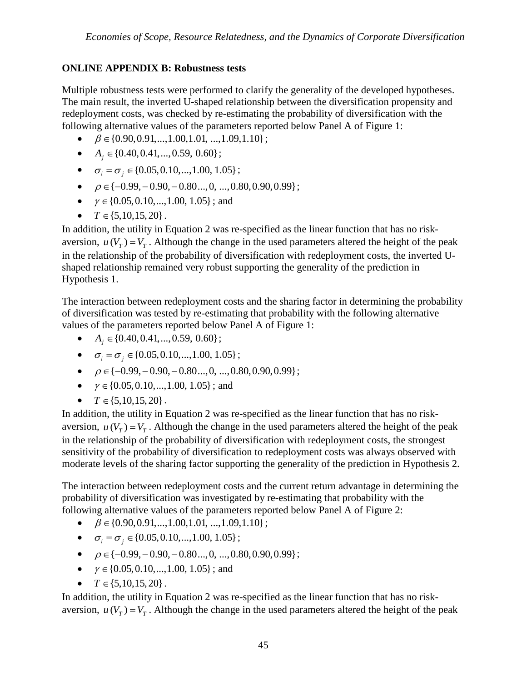# **ONLINE APPENDIX B: Robustness tests**

Multiple robustness tests were performed to clarify the generality of the developed hypotheses. The main result, the inverted U-shaped relationship between the diversification propensity and redeployment costs, was checked by re-estimating the probability of diversification with the following alternative values of the parameters reported below Panel A of Figure 1:

- $\theta \in \{0.90, 0.91, \ldots, 1.00, 1.01, \ldots, 1.09, 1.10\};$
- $A_i \in \{0.40, 0.41, \ldots, 0.59, 0.60\}$ ;
- $\sigma_i = \sigma_j \in \{0.05, 0.10, \ldots, 1.00, 1.05\};$
- $\bullet$   $\rho \in \{-0.99, -0.90, -0.80\dots, 0, \dots, 0.80, 0.90, 0.99\};$
- $\gamma \in \{0.05, 0.10, \ldots, 1.00, 1.05\}$ ; and
- $T \in \{5, 10, 15, 20\}$ .

In addition, the utility in Equation 2 was re-specified as the linear function that has no riskaversion,  $u(V_T) = V_T$ . Although the change in the used parameters altered the height of the peak in the relationship of the probability of diversification with redeployment costs, the inverted Ushaped relationship remained very robust supporting the generality of the prediction in Hypothesis 1.

The interaction between redeployment costs and the sharing factor in determining the probability of diversification was tested by re-estimating that probability with the following alternative values of the parameters reported below Panel A of Figure 1:

- $A_i \in \{0.40, 0.41, ..., 0.59, 0.60\}$ ;
- $\sigma_i = \sigma_j \in \{0.05, 0.10, \ldots, 1.00, 1.05\};$
- $\bullet$   $\rho \in \{-0.99, -0.90, -0.80, \ldots, 0, \ldots, 0.80, 0.90, 0.99\};$
- $\gamma \in \{0.05, 0.10, \ldots, 1.00, 1.05\}$ ; and
- $T \in \{5, 10, 15, 20\}$ .

In addition, the utility in Equation 2 was re-specified as the linear function that has no riskaversion,  $u(V_T) = V_T$ . Although the change in the used parameters altered the height of the peak in the relationship of the probability of diversification with redeployment costs, the strongest sensitivity of the probability of diversification to redeployment costs was always observed with moderate levels of the sharing factor supporting the generality of the prediction in Hypothesis 2.

The interaction between redeployment costs and the current return advantage in determining the probability of diversification was investigated by re-estimating that probability with the following alternative values of the parameters reported below Panel A of Figure 2:

- $\bullet$   $\beta \in \{0.90, 0.91, \ldots, 1.00, 1.01, \ldots, 1.09, 1.10\};$
- $\sigma_i = \sigma_j \in \{0.05, 0.10, \ldots, 1.00, 1.05\};$
- $\bullet$   $\rho \in \{-0.99, -0.90, -0.80\dots, 0, \dots, 0.80, 0.90, 0.99\};$
- $\gamma \in \{0.05, 0.10, \ldots, 1.00, 1.05\}$ ; and
- $T \in \{5, 10, 15, 20\}.$

In addition, the utility in Equation 2 was re-specified as the linear function that has no riskaversion,  $u(V_\tau) = V_\tau$ . Although the change in the used parameters altered the height of the peak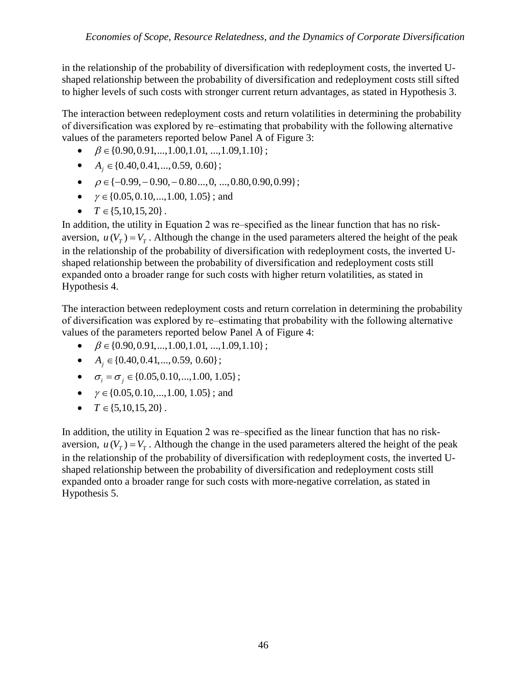in the relationship of the probability of diversification with redeployment costs, the inverted Ushaped relationship between the probability of diversification and redeployment costs still sifted to higher levels of such costs with stronger current return advantages, as stated in Hypothesis 3.

The interaction between redeployment costs and return volatilities in determining the probability of diversification was explored by re‒estimating that probability with the following alternative values of the parameters reported below Panel A of Figure 3:

- $\bullet$   $\beta \in \{0.90, 0.91, ..., 1.00, 1.01, ..., 1.09, 1.10\};$
- $A_i \in \{0.40, 0.41, ..., 0.59, 0.60\}$ ;
- $\bullet$   $\rho \in \{-0.99, -0.90, -0.80, \ldots, 0, \ldots, 0.80, 0.90, 0.99\};$
- $\gamma \in \{0.05, 0.10, \ldots, 1.00, 1.05\}$ ; and
- $T \in \{5, 10, 15, 20\}$ .

In addition, the utility in Equation 2 was re-specified as the linear function that has no riskaversion,  $u(V_T) = V_T$ . Although the change in the used parameters altered the height of the peak in the relationship of the probability of diversification with redeployment costs, the inverted Ushaped relationship between the probability of diversification and redeployment costs still expanded onto a broader range for such costs with higher return volatilities, as stated in Hypothesis 4.

The interaction between redeployment costs and return correlation in determining the probability of diversification was explored by re‒estimating that probability with the following alternative values of the parameters reported below Panel A of Figure 4:

- $\theta \in \{0.90, 0.91, \ldots, 1.00, 1.01, \ldots, 1.09, 1.10\};$
- $A_i \in \{0.40, 0.41, ..., 0.59, 0.60\}$ ;
- $\sigma_i = \sigma_j \in \{0.05, 0.10, \ldots, 1.00, 1.05\};$
- $\gamma \in \{0.05, 0.10, \ldots, 1.00, 1.05\}$ ; and
- $T \in \{5, 10, 15, 20\}$ .

In addition, the utility in Equation 2 was re-specified as the linear function that has no riskaversion,  $u(V_T) = V_T$ . Although the change in the used parameters altered the height of the peak in the relationship of the probability of diversification with redeployment costs, the inverted Ushaped relationship between the probability of diversification and redeployment costs still expanded onto a broader range for such costs with more-negative correlation, as stated in Hypothesis 5.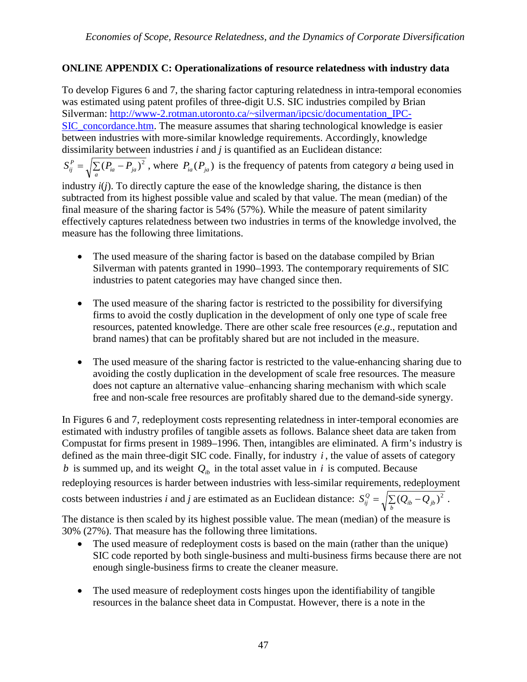# **ONLINE APPENDIX C: Operationalizations of resource relatedness with industry data**

To develop Figures 6 and 7, the sharing factor capturing relatedness in intra-temporal economies was estimated using patent profiles of three-digit U.S. SIC industries compiled by Brian Silverman: [http://www-2.rotman.utoronto.ca/~silverman/ipcsic/documentation\\_IPC-](http://www-2.rotman.utoronto.ca/%7Esilverman/ipcsic/documentation_IPC-SIC_concordance.htm)SIC concordance.htm. The measure assumes that sharing technological knowledge is easier between industries with more-similar knowledge requirements. Accordingly, knowledge dissimilarity between industries *i* and *j* is quantified as an Euclidean distance:

 $S_{ij}^P = \sqrt{\sum_a (P_{ia} - P_{ja})^2}$ , where  $P_{ia}(P_{ja})$  is the frequency of patents from category *a* being used in

industry  $i(j)$ . To directly capture the ease of the knowledge sharing, the distance is then subtracted from its highest possible value and scaled by that value. The mean (median) of the final measure of the sharing factor is 54% (57%). While the measure of patent similarity effectively captures relatedness between two industries in terms of the knowledge involved, the measure has the following three limitations.

- The used measure of the sharing factor is based on the database compiled by Brian Silverman with patents granted in 1990–1993. The contemporary requirements of SIC industries to patent categories may have changed since then.
- The used measure of the sharing factor is restricted to the possibility for diversifying firms to avoid the costly duplication in the development of only one type of scale free resources, patented knowledge. There are other scale free resources (*e*.*g*., reputation and brand names) that can be profitably shared but are not included in the measure.
- The used measure of the sharing factor is restricted to the value-enhancing sharing due to avoiding the costly duplication in the development of scale free resources. The measure does not capture an alternative value‒enhancing sharing mechanism with which scale free and non-scale free resources are profitably shared due to the demand-side synergy.

In Figures 6 and 7, redeployment costs representing relatedness in inter-temporal economies are estimated with industry profiles of tangible assets as follows. Balance sheet data are taken from Compustat for firms present in 1989–1996. Then, intangibles are eliminated. A firm's industry is defined as the main three-digit SIC code. Finally, for industry *i* , the value of assets of category *b* is summed up, and its weight  $Q<sub>i</sub>$  in the total asset value in *i* is computed. Because redeploying resources is harder between industries with less-similar requirements, redeployment costs between industries *i* and *j* are estimated as an Euclidean distance:  $S_{ij}^Q = \sqrt{\sum_b (Q_{ib} - Q_{jb})^2}$ .

The distance is then scaled by its highest possible value. The mean (median) of the measure is 30% (27%). That measure has the following three limitations.

- The used measure of redeployment costs is based on the main (rather than the unique) SIC code reported by both single-business and multi-business firms because there are not enough single-business firms to create the cleaner measure.
- The used measure of redeployment costs hinges upon the identifiability of tangible resources in the balance sheet data in Compustat. However, there is a note in the